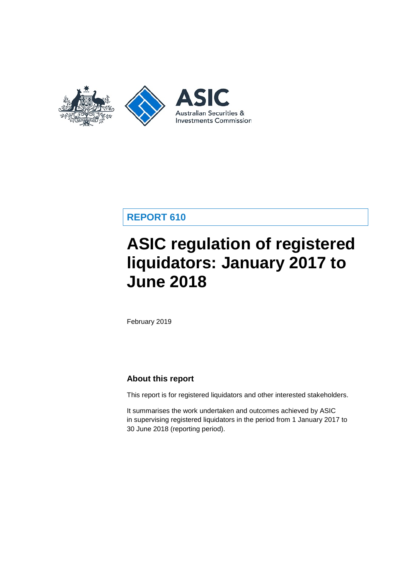

# **REPORT 610**

# **ASIC regulation of registered liquidators: January 2017 to June 2018**

February 2019

# **About this report**

This report is for registered liquidators and other interested stakeholders.

It summarises the work undertaken and outcomes achieved by ASIC in supervising registered liquidators in the period from 1 January 2017 to 30 June 2018 (reporting period).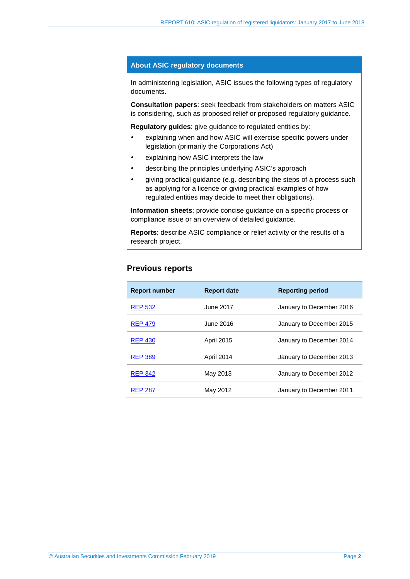#### **About ASIC regulatory documents**

In administering legislation, ASIC issues the following types of regulatory documents.

**Consultation papers**: seek feedback from stakeholders on matters ASIC is considering, such as proposed relief or proposed regulatory guidance.

**Regulatory guides**: give guidance to regulated entities by:

- explaining when and how ASIC will exercise specific powers under legislation (primarily the Corporations Act)
- explaining how ASIC interprets the law
- describing the principles underlying ASIC's approach
- giving practical guidance (e.g. describing the steps of a process such as applying for a licence or giving practical examples of how regulated entities may decide to meet their obligations).

**Information sheets**: provide concise guidance on a specific process or compliance issue or an overview of detailed guidance.

**Reports**: describe ASIC compliance or relief activity or the results of a research project.

## **Previous reports**

| <b>Report number</b> | <b>Report date</b> | <b>Reporting period</b>  |
|----------------------|--------------------|--------------------------|
| <b>REP 532</b>       | June 2017          | January to December 2016 |
| <b>REP 479</b>       | June 2016          | January to December 2015 |
| <b>REP 430</b>       | <b>April 2015</b>  | January to December 2014 |
| <b>REP 389</b>       | April 2014         | January to December 2013 |
| <b>REP 342</b>       | May 2013           | January to December 2012 |
| <b>REP 287</b>       | May 2012           | January to December 2011 |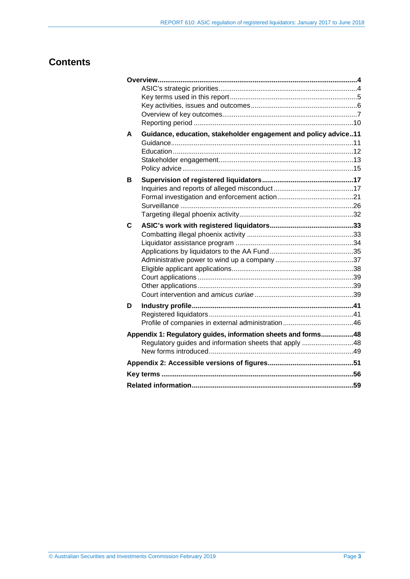# **Contents**

| A | Guidance, education, stakeholder engagement and policy advice11 |  |
|---|-----------------------------------------------------------------|--|
|   |                                                                 |  |
|   |                                                                 |  |
|   |                                                                 |  |
|   |                                                                 |  |
| в |                                                                 |  |
|   |                                                                 |  |
|   |                                                                 |  |
|   |                                                                 |  |
|   |                                                                 |  |
| C |                                                                 |  |
|   |                                                                 |  |
|   |                                                                 |  |
|   |                                                                 |  |
|   |                                                                 |  |
|   |                                                                 |  |
|   |                                                                 |  |
|   |                                                                 |  |
|   |                                                                 |  |
| D |                                                                 |  |
|   |                                                                 |  |
|   |                                                                 |  |
|   | Appendix 1: Regulatory guides, information sheets and forms48   |  |
|   | Regulatory guides and information sheets that apply 48          |  |
|   |                                                                 |  |
|   |                                                                 |  |
|   |                                                                 |  |
|   |                                                                 |  |
|   |                                                                 |  |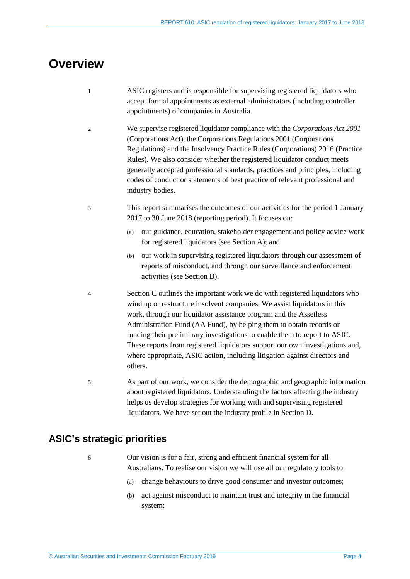# <span id="page-3-0"></span>**Overview**

- 1 ASIC registers and is responsible for supervising registered liquidators who accept formal appointments as external administrators (including controller appointments) of companies in Australia.
- 2 We supervise registered liquidator compliance with the *Corporations Act 2001* (Corporations Act), the Corporations Regulations 2001 (Corporations Regulations) and the Insolvency Practice Rules (Corporations) 2016 (Practice Rules). We also consider whether the registered liquidator conduct meets generally accepted professional standards, practices and principles, including codes of conduct or statements of best practice of relevant professional and industry bodies.
- 3 This report summarises the outcomes of our activities for the period 1 January 2017 to 30 June 2018 (reporting period). It focuses on:
	- (a) our guidance, education, stakeholder engagement and policy advice work for registered liquidators (see Section [A\)](#page-10-0); and
	- (b) our work in supervising registered liquidators through our assessment of reports of misconduct, and through our surveillance and enforcement activities (see Section [B\)](#page-16-0).
- 4 Section [C](#page-32-0) outlines the important work we do with registered liquidators who wind up or restructure insolvent companies. We assist liquidators in this work, through our liquidator assistance program and the Assetless Administration Fund (AA Fund), by helping them to obtain records or funding their preliminary investigations to enable them to report to ASIC. These reports from registered liquidators support our own investigations and, where appropriate, ASIC action, including litigation against directors and others.
- 5 As part of our work, we consider the demographic and geographic information about registered liquidators. Understanding the factors affecting the industry helps us develop strategies for working with and supervising registered liquidators. We have set out the industry profile in Section [D.](#page-40-0)

# <span id="page-3-1"></span>**ASIC's strategic priorities**

- 
- 6 Our vision is for a fair, strong and efficient financial system for all Australians. To realise our vision we will use all our regulatory tools to:
	- (a) change behaviours to drive good consumer and investor outcomes;
	- (b) act against misconduct to maintain trust and integrity in the financial system;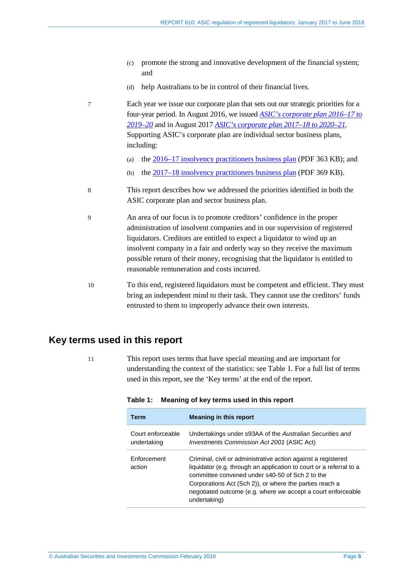- (c) promote the strong and innovative development of the financial system; and
- (d) help Australians to be in control of their financial lives.
- 7 Each year we issue our corporate plan that sets out our strategic priorities for a four-year period. In August 2016, we issued *[ASIC's corporate plan 2016–17 to](https://asic.gov.au/about-asic/what-we-do/our-role/asics-corporate-plan-2016-2017-to-2019-2020/)  [2019–20](https://asic.gov.au/about-asic/what-we-do/our-role/asics-corporate-plan-2016-2017-to-2019-2020/)* and in August 2017 *[ASIC's corporate plan 2017–18 to 2020–21](https://asic.gov.au/about-asic/what-we-do/our-role/asics-corporate-plan-2017-18-to-2020-21/)*. Supporting ASIC's corporate plan are individual sector business plans, including:
	- (a) th[e 2016–17 insolvency practitioners business plan](https://download.asic.gov.au/media/4060345/asics-2016-17-insolvency-practitioners-summary-business-plan.pdf) (PDF 363 KB); and
	- (b) the  $2017-18$  insolvency practitioners business plan (PDF 369 KB).
- 8 This report describes how we addressed the priorities identified in both the ASIC corporate plan and sector business plan.
- 9 An area of our focus is to promote creditors' confidence in the proper administration of insolvent companies and in our supervision of registered liquidators. Creditors are entitled to expect a liquidator to wind up an insolvent company in a fair and orderly way so they receive the maximum possible return of their money, recognising that the liquidator is entitled to reasonable remuneration and costs incurred.
- 10 To this end, registered liquidators must be competent and efficient. They must bring an independent mind to their task. They cannot use the creditors' funds entrusted to them to improperly advance their own interests.

# <span id="page-4-0"></span>**Key terms used in this report**

<span id="page-4-1"></span>

11 This report uses terms that have special meaning and are important for understanding the context of the statistics: see [Table 1.](#page-4-1) For a full list of terms used in this report, see the 'Key terms' at the end of the report.

| Term                             | <b>Meaning in this report</b>                                                                                                                                                                                                                                                                                                      |
|----------------------------------|------------------------------------------------------------------------------------------------------------------------------------------------------------------------------------------------------------------------------------------------------------------------------------------------------------------------------------|
| Court enforceable<br>undertaking | Undertakings under s93AA of the Australian Securities and<br><i>Investments Commission Act 2001 (ASIC Act)</i>                                                                                                                                                                                                                     |
| Enforcement<br>action            | Criminal, civil or administrative action against a registered<br>liquidator (e.g. through an application to court or a referral to a<br>committee convened under s40-50 of Sch 2 to the<br>Corporations Act (Sch 2)), or where the parties reach a<br>negotiated outcome (e.g. where we accept a court enforceable<br>undertaking) |

#### **Table 1: Meaning of key terms used in this report**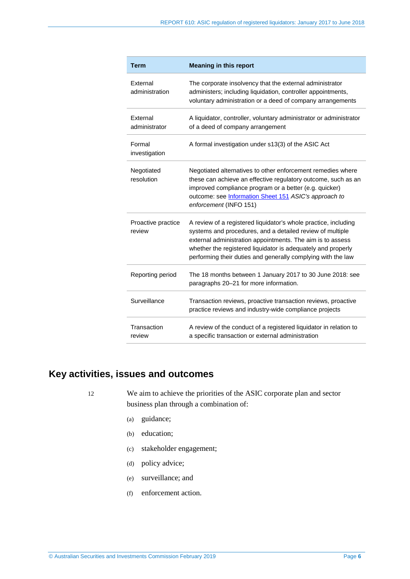| <b>Term</b>                  | <b>Meaning in this report</b>                                                                                                                                                                                                                                                                                              |
|------------------------------|----------------------------------------------------------------------------------------------------------------------------------------------------------------------------------------------------------------------------------------------------------------------------------------------------------------------------|
| External<br>administration   | The corporate insolvency that the external administrator<br>administers; including liquidation, controller appointments,<br>voluntary administration or a deed of company arrangements                                                                                                                                     |
| External<br>administrator    | A liquidator, controller, voluntary administrator or administrator<br>of a deed of company arrangement                                                                                                                                                                                                                     |
| Formal<br>investigation      | A formal investigation under s13(3) of the ASIC Act                                                                                                                                                                                                                                                                        |
| Negotiated<br>resolution     | Negotiated alternatives to other enforcement remedies where<br>these can achieve an effective regulatory outcome, such as an<br>improved compliance program or a better (e.g. quicker)<br>outcome: see Information Sheet 151 ASIC's approach to<br>enforcement (INFO 151)                                                  |
| Proactive practice<br>review | A review of a registered liquidator's whole practice, including<br>systems and procedures, and a detailed review of multiple<br>external administration appointments. The aim is to assess<br>whether the registered liquidator is adequately and properly<br>performing their duties and generally complying with the law |
| Reporting period             | The 18 months between 1 January 2017 to 30 June 2018: see<br>paragraphs 20-21 for more information.                                                                                                                                                                                                                        |
| Surveillance                 | Transaction reviews, proactive transaction reviews, proactive<br>practice reviews and industry-wide compliance projects                                                                                                                                                                                                    |
| Transaction<br>review        | A review of the conduct of a registered liquidator in relation to<br>a specific transaction or external administration                                                                                                                                                                                                     |

# <span id="page-5-0"></span>**Key activities, issues and outcomes**

12 We aim to achieve the priorities of the ASIC corporate plan and sector business plan through a combination of:

- (a) guidance;
- (b) education;
- (c) stakeholder engagement;
- (d) policy advice;
- (e) surveillance; and
- (f) enforcement action.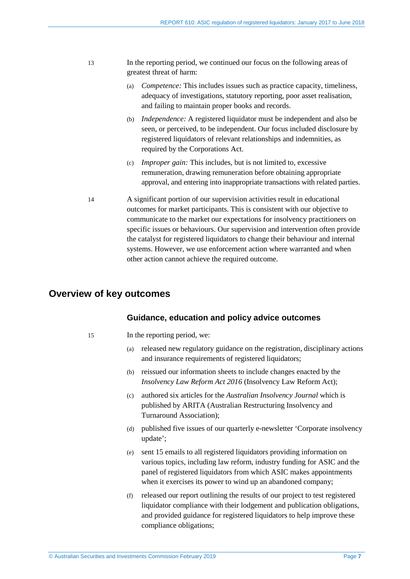- 13 In the reporting period, we continued our focus on the following areas of greatest threat of harm:
	- (a) *Competence:* This includes issues such as practice capacity, timeliness, adequacy of investigations, statutory reporting, poor asset realisation, and failing to maintain proper books and records.
	- (b) *Independence:* A registered liquidator must be independent and also be seen, or perceived, to be independent. Our focus included disclosure by registered liquidators of relevant relationships and indemnities, as required by the Corporations Act.
	- (c) *Improper gain:* This includes, but is not limited to, excessive remuneration, drawing remuneration before obtaining appropriate approval, and entering into inappropriate transactions with related parties.
- 14 A significant portion of our supervision activities result in educational outcomes for market participants. This is consistent with our objective to communicate to the market our expectations for insolvency practitioners on specific issues or behaviours. Our supervision and intervention often provide the catalyst for registered liquidators to change their behaviour and internal systems. However, we use enforcement action where warranted and when other action cannot achieve the required outcome.

# <span id="page-6-0"></span>**Overview of key outcomes**

#### **Guidance, education and policy advice outcomes**

- 15 In the reporting period, we:
	- (a) released new regulatory guidance on the registration, disciplinary actions and insurance requirements of registered liquidators;
	- (b) reissued our information sheets to include changes enacted by the *Insolvency Law Reform Act 2016* (Insolvency Law Reform Act);
	- (c) authored six articles for the *Australian Insolvency Journal* which is published by ARITA (Australian Restructuring Insolvency and Turnaround Association);
	- (d) published five issues of our quarterly e-newsletter 'Corporate insolvency update';
	- (e) sent 15 emails to all registered liquidators providing information on various topics, including law reform, industry funding for ASIC and the panel of registered liquidators from which ASIC makes appointments when it exercises its power to wind up an abandoned company;
	- (f) released our report outlining the results of our project to test registered liquidator compliance with their lodgement and publication obligations, and provided guidance for registered liquidators to help improve these compliance obligations;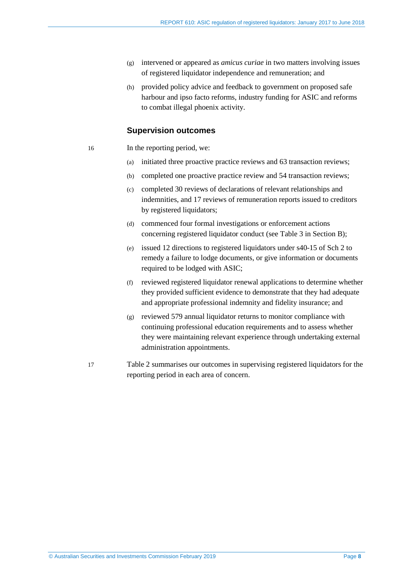- (g) intervened or appeared as *amicus curiae* in two matters involving issues of registered liquidator independence and remuneration; and
- (h) provided policy advice and feedback to government on proposed safe harbour and ipso facto reforms, industry funding for ASIC and reforms to combat illegal phoenix activity.

#### **Supervision outcomes**

- 16 In the reporting period, we:
	- (a) initiated three proactive practice reviews and 63 transaction reviews;
	- (b) completed one proactive practice review and 54 transaction reviews;
	- (c) completed 30 reviews of declarations of relevant relationships and indemnities, and 17 reviews of remuneration reports issued to creditors by registered liquidators;
	- (d) commenced four formal investigations or enforcement actions concerning registered liquidator conduct (see [Table 3](#page-21-0) in Section [B\)](#page-16-0);
	- (e) issued 12 directions to registered liquidators under s40-15 of Sch 2 to remedy a failure to lodge documents, or give information or documents required to be lodged with ASIC;
	- (f) reviewed registered liquidator renewal applications to determine whether they provided sufficient evidence to demonstrate that they had adequate and appropriate professional indemnity and fidelity insurance; and
	- (g) reviewed 579 annual liquidator returns to monitor compliance with continuing professional education requirements and to assess whether they were maintaining relevant experience through undertaking external administration appointments.
- 17 [Table 2](#page-8-0) summarises our outcomes in supervising registered liquidators for the reporting period in each area of concern.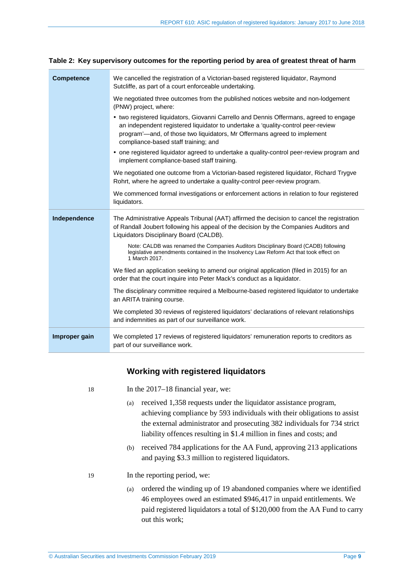| <b>Competence</b> | We cancelled the registration of a Victorian-based registered liquidator, Raymond<br>Sutcliffe, as part of a court enforceable undertaking.                                                                                                                                                    |
|-------------------|------------------------------------------------------------------------------------------------------------------------------------------------------------------------------------------------------------------------------------------------------------------------------------------------|
|                   | We negotiated three outcomes from the published notices website and non-lodgement<br>(PNW) project, where:                                                                                                                                                                                     |
|                   | • two registered liquidators, Giovanni Carrello and Dennis Offermans, agreed to engage<br>an independent registered liquidator to undertake a 'quality-control peer-review<br>program'-and, of those two liquidators, Mr Offermans agreed to implement<br>compliance-based staff training; and |
|                   | • one registered liquidator agreed to undertake a quality-control peer-review program and<br>implement compliance-based staff training.                                                                                                                                                        |
|                   | We negotiated one outcome from a Victorian-based registered liquidator, Richard Trygve<br>Rohrt, where he agreed to undertake a quality-control peer-review program.                                                                                                                           |
|                   | We commenced formal investigations or enforcement actions in relation to four registered<br>liquidators.                                                                                                                                                                                       |
|                   |                                                                                                                                                                                                                                                                                                |
| Independence      | The Administrative Appeals Tribunal (AAT) affirmed the decision to cancel the registration<br>of Randall Joubert following his appeal of the decision by the Companies Auditors and<br>Liquidators Disciplinary Board (CALDB).                                                                 |
|                   | Note: CALDB was renamed the Companies Auditors Disciplinary Board (CADB) following<br>legislative amendments contained in the Insolvency Law Reform Act that took effect on<br>1 March 2017.                                                                                                   |
|                   | We filed an application seeking to amend our original application (filed in 2015) for an<br>order that the court inquire into Peter Mack's conduct as a liquidator.                                                                                                                            |
|                   | The disciplinary committee required a Melbourne-based registered liquidator to undertake<br>an ARITA training course.                                                                                                                                                                          |
|                   | We completed 30 reviews of registered liquidators' declarations of relevant relationships<br>and indemnities as part of our surveillance work.                                                                                                                                                 |

<span id="page-8-0"></span>**Table 2: Key supervisory outcomes for the reporting period by area of greatest threat of harm**

## **Working with registered liquidators**

In the  $2017-18$  financial year, we:

- (a) received 1,358 requests under the liquidator assistance program, achieving compliance by 593 individuals with their obligations to assist the external administrator and prosecuting 382 individuals for 734 strict liability offences resulting in \$1.4 million in fines and costs; and
- (b) received 784 applications for the AA Fund, approving 213 applications and paying \$3.3 million to registered liquidators.

19 In the reporting period, we:

(a) ordered the winding up of 19 abandoned companies where we identified 46 employees owed an estimated \$946,417 in unpaid entitlements. We paid registered liquidators a total of \$120,000 from the AA Fund to carry out this work;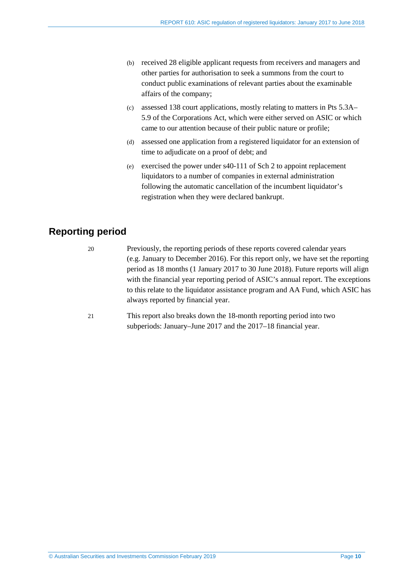- (b) received 28 eligible applicant requests from receivers and managers and other parties for authorisation to seek a summons from the court to conduct public examinations of relevant parties about the examinable affairs of the company;
- (c) assessed 138 court applications, mostly relating to matters in Pts 5.3A– 5.9 of the Corporations Act, which were either served on ASIC or which came to our attention because of their public nature or profile;
- (d) assessed one application from a registered liquidator for an extension of time to adjudicate on a proof of debt; and
- (e) exercised the power under s40-111 of Sch 2 to appoint replacement liquidators to a number of companies in external administration following the automatic cancellation of the incumbent liquidator's registration when they were declared bankrupt.

# <span id="page-9-1"></span><span id="page-9-0"></span>**Reporting period**

20 Previously, the reporting periods of these reports covered calendar years (e.g. January to December 2016). For this report only, we have set the reporting period as 18 months (1 January 2017 to 30 June 2018). Future reports will align with the financial year reporting period of ASIC's annual report. The exceptions to this relate to the liquidator assistance program and AA Fund, which ASIC has always reported by financial year.

<span id="page-9-2"></span>21 This report also breaks down the 18-month reporting period into two subperiods: January–June 2017 and the 2017–18 financial year.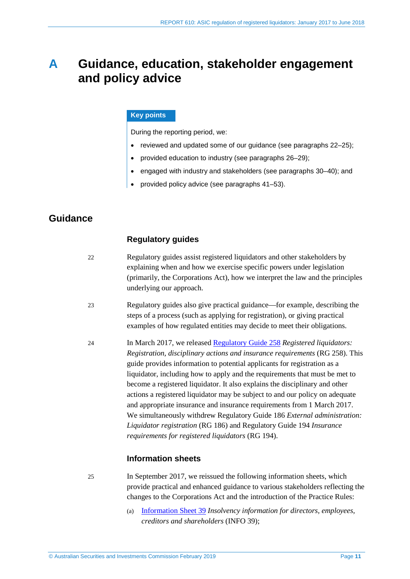# <span id="page-10-0"></span>**A Guidance, education, stakeholder engagement and policy advice**

## **Key points**

During the reporting period, we:

- reviewed and updated some of our guidance (see paragraphs [22](#page-10-2)[–25\)](#page-10-3);
- provided education to industry (see paragraphs [26](#page-11-1)[–29\)](#page-12-1);
- engaged with industry and stakeholders (see paragraphs [30](#page-12-2)[–40\)](#page-13-0); and
- provided policy advice (see paragraphs [41](#page-14-1)[–53\)](#page-15-0).

# <span id="page-10-2"></span><span id="page-10-1"></span>**Guidance**

## **Regulatory guides**

- 22 Regulatory guides assist registered liquidators and other stakeholders by explaining when and how we exercise specific powers under legislation (primarily, the Corporations Act), how we interpret the law and the principles underlying our approach.
- 23 Regulatory guides also give practical guidance—for example, describing the steps of a process (such as applying for registration), or giving practical examples of how regulated entities may decide to meet their obligations.
- 24 In March 2017, we released [Regulatory Guide 258](https://asic.gov.au/regulatory-resources/find-a-document/regulatory-guides/rg-258-registered-liquidators-registration-disciplinary-actions-and-insurance-requirements/) *Registered liquidators: Registration, disciplinary actions and insurance requirements* (RG 258). This guide provides information to potential applicants for registration as a liquidator, including how to apply and the requirements that must be met to become a registered liquidator. It also explains the disciplinary and other actions a registered liquidator may be subject to and our policy on adequate and appropriate insurance and insurance requirements from 1 March 2017. We simultaneously withdrew Regulatory Guide 186 *External administration: Liquidator registration* (RG 186) and Regulatory Guide 194 *Insurance requirements for registered liquidators* (RG 194).

## **Information sheets**

- <span id="page-10-3"></span>25 In September 2017, we reissued the following information sheets, which provide practical and enhanced guidance to various stakeholders reflecting the changes to the Corporations Act and the introduction of the Practice Rules:
	- (a) [Information Sheet 39](https://asic.gov.au/regulatory-resources/insolvency/insolvency-information-for-directors-employees-creditors-and-shareholders/) *Insolvency information for directors, employees, creditors and shareholders* (INFO 39);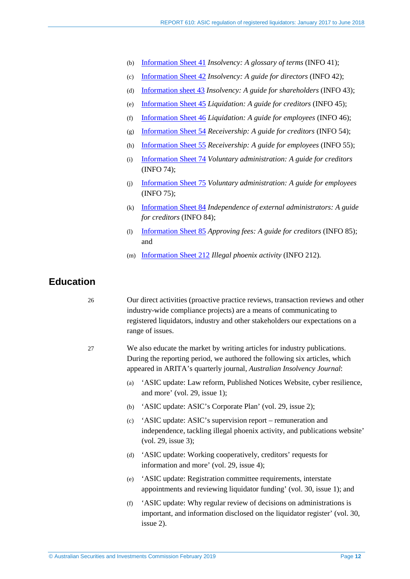- (b) [Information Sheet 41](https://asic.gov.au/regulatory-resources/insolvency/insolvency-information-for-directors-employees-creditors-and-shareholders/insolvency-a-glossary-of-terms/) *Insolvency: A glossary of terms* (INFO 41);
- (c) [Information Sheet 42](https://asic.gov.au/regulatory-resources/insolvency/insolvency-for-directors/insolvency-a-guide-for-directors/) *Insolvency: A guide for directors* (INFO 42);
- (d) [Information sheet 43](https://asic.gov.au/regulatory-resources/insolvency/insolvency-for-shareholders/insolvency-a-guide-for-shareholders/) *Insolvency: A guide for shareholders* (INFO 43);
- (e) [Information Sheet 45](https://asic.gov.au/regulatory-resources/insolvency/insolvency-for-creditors/liquidation-a-guide-for-creditors/) *Liquidation: A guide for creditors* (INFO 45);
- (f) [Information Sheet 46](https://asic.gov.au/regulatory-resources/insolvency/insolvency-for-employees/liquidation-a-guide-for-employees/) *Liquidation: A guide for employees* (INFO 46);
- (g) [Information Sheet 54](https://asic.gov.au/regulatory-resources/insolvency/insolvency-for-creditors/receivership-a-guide-for-creditors/) *Receivership: A guide for creditors* (INFO 54);
- (h) [Information Sheet 55](https://asic.gov.au/regulatory-resources/insolvency/insolvency-for-employees/receivership-a-guide-for-employees/) *Receivership: A guide for employees* (INFO 55);
- (i) [Information Sheet 74](https://asic.gov.au/regulatory-resources/insolvency/insolvency-for-creditors/voluntary-administration-a-guide-for-creditors/) *Voluntary administration: A guide for creditors* (INFO 74);
- (j) [Information Sheet 75](https://asic.gov.au/regulatory-resources/insolvency/insolvency-for-employees/voluntary-administration-a-guide-for-employees/) *Voluntary administration: A guide for employees* (INFO 75);
- (k) [Information Sheet 84](https://asic.gov.au/regulatory-resources/insolvency/insolvency-for-creditors/independence-of-external-administrators-a-guide-for-creditors/) *Independence of external administrators: A guide for creditors* (INFO 84);
- (l) [Information Sheet 85](https://asic.gov.au/regulatory-resources/insolvency/insolvency-for-creditors/approving-fees-a-guide-for-creditors/) *Approving fees: A guide for creditors* (INFO 85); and
- (m) [Information Sheet 212](https://asic.gov.au/about-asic/contact-us/how-to-complain/illegal-phoenix-activity/) *Illegal phoenix activity* (INFO 212)*.*

# <span id="page-11-1"></span><span id="page-11-0"></span>**Education**

- 26 Our direct activities (proactive practice reviews, transaction reviews and other industry-wide compliance projects) are a means of communicating to registered liquidators, industry and other stakeholders our expectations on a range of issues.
- 27 We also educate the market by writing articles for industry publications. During the reporting period, we authored the following six articles, which appeared in ARITA's quarterly journal, *Australian Insolvency Journal*:
	- (a) 'ASIC update: Law reform, Published Notices Website, cyber resilience, and more' (vol. 29, issue 1);
	- (b) 'ASIC update: ASIC's Corporate Plan' (vol. 29, issue 2);
	- (c) 'ASIC update: ASIC's supervision report remuneration and independence, tackling illegal phoenix activity, and publications website' (vol. 29, issue 3);
	- (d) 'ASIC update: Working cooperatively, creditors' requests for information and more' (vol. 29, issue 4);
	- (e) 'ASIC update: Registration committee requirements, interstate appointments and reviewing liquidator funding' (vol. 30, issue 1); and
	- (f) 'ASIC update: Why regular review of decisions on administrations is important, and information disclosed on the liquidator register' (vol. 30, issue 2).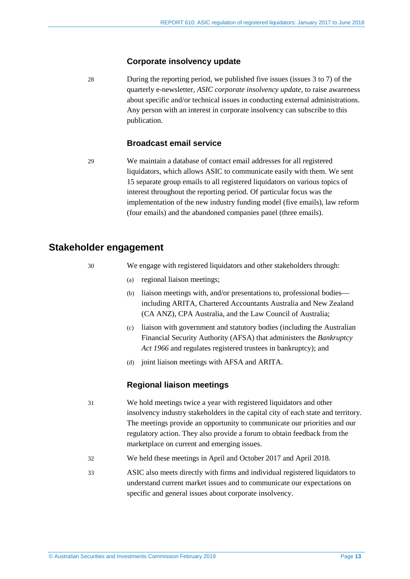#### **Corporate insolvency update**

28 During the reporting period, we published five issues (issues 3 to 7) of the quarterly e-newsletter, *ASIC corporate insolvency update*, to raise awareness about specific and/or technical issues in conducting external administrations. Any person with an interest in corporate insolvency can subscribe to this publication.

## **Broadcast email service**

<span id="page-12-1"></span>29 We maintain a database of contact email addresses for all registered liquidators, which allows ASIC to communicate easily with them. We sent 15 separate group emails to all registered liquidators on various topics of interest throughout the reporting period. Of particular focus was the implementation of the new industry funding model (five emails), law reform (four emails) and the abandoned companies panel (three emails).

## <span id="page-12-2"></span><span id="page-12-0"></span>**Stakeholder engagement**

- 
- 30 We engage with registered liquidators and other stakeholders through:
	- (a) regional liaison meetings;
	- (b) liaison meetings with, and/or presentations to, professional bodies including ARITA, Chartered Accountants Australia and New Zealand (CA ANZ), CPA Australia, and the Law Council of Australia;
	- (c) liaison with government and statutory bodies (including the Australian Financial Security Authority (AFSA) that administers the *Bankruptcy Act 1966* and regulates registered trustees in bankruptcy); and
	- (d) joint liaison meetings with AFSA and ARITA.

### **Regional liaison meetings**

- 31 We hold meetings twice a year with registered liquidators and other insolvency industry stakeholders in the capital city of each state and territory. The meetings provide an opportunity to communicate our priorities and our regulatory action. They also provide a forum to obtain feedback from the marketplace on current and emerging issues.
- 32 We held these meetings in April and October 2017 and April 2018.
- 33 ASIC also meets directly with firms and individual registered liquidators to understand current market issues and to communicate our expectations on specific and general issues about corporate insolvency.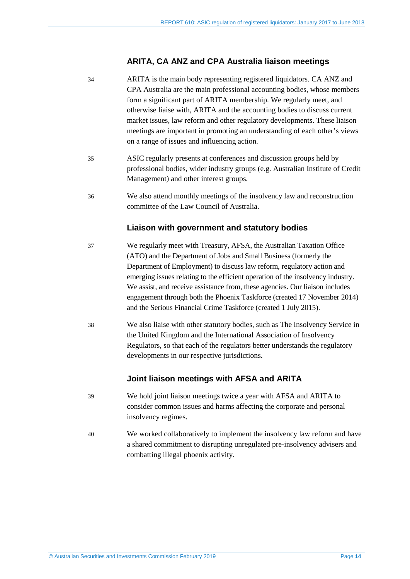## **ARITA, CA ANZ and CPA Australia liaison meetings**

- 34 ARITA is the main body representing registered liquidators. CA ANZ and CPA Australia are the main professional accounting bodies, whose members form a significant part of ARITA membership. We regularly meet, and otherwise liaise with, ARITA and the accounting bodies to discuss current market issues, law reform and other regulatory developments. These liaison meetings are important in promoting an understanding of each other's views on a range of issues and influencing action.
- 35 ASIC regularly presents at conferences and discussion groups held by professional bodies, wider industry groups (e.g. Australian Institute of Credit Management) and other interest groups.
- 36 We also attend monthly meetings of the insolvency law and reconstruction committee of the Law Council of Australia.

## **Liaison with government and statutory bodies**

- 37 We regularly meet with Treasury, AFSA, the Australian Taxation Office (ATO) and the Department of Jobs and Small Business (formerly the Department of Employment) to discuss law reform, regulatory action and emerging issues relating to the efficient operation of the insolvency industry. We assist, and receive assistance from, these agencies. Our liaison includes engagement through both the Phoenix Taskforce (created 17 November 2014) and the Serious Financial Crime Taskforce (created 1 July 2015).
- 38 We also liaise with other statutory bodies, such as The Insolvency Service in the United Kingdom and the International Association of Insolvency Regulators, so that each of the regulators better understands the regulatory developments in our respective jurisdictions.

## **Joint liaison meetings with AFSA and ARITA**

- 39 We hold joint liaison meetings twice a year with AFSA and ARITA to consider common issues and harms affecting the corporate and personal insolvency regimes.
- <span id="page-13-0"></span>40 We worked collaboratively to implement the insolvency law reform and have a shared commitment to disrupting unregulated pre-insolvency advisers and combatting illegal phoenix activity.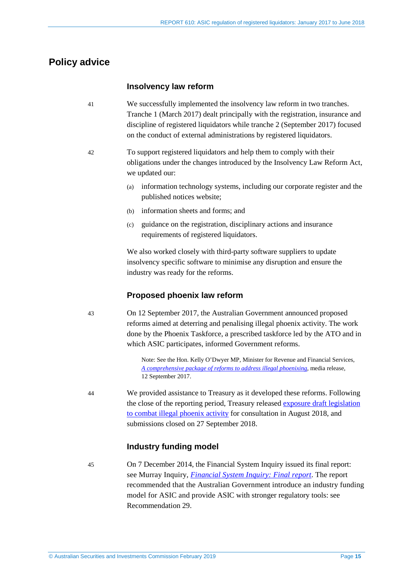# <span id="page-14-1"></span><span id="page-14-0"></span>**Policy advice**

## **Insolvency law reform**

- 41 We successfully implemented the insolvency law reform in two tranches. Tranche 1 (March 2017) dealt principally with the registration, insurance and discipline of registered liquidators while tranche 2 (September 2017) focused on the conduct of external administrations by registered liquidators.
- 42 To support registered liquidators and help them to comply with their obligations under the changes introduced by the Insolvency Law Reform Act, we updated our:
	- (a) information technology systems, including our corporate register and the published notices website;
	- (b) information sheets and forms; and
	- (c) guidance on the registration, disciplinary actions and insurance requirements of registered liquidators.

We also worked closely with third-party software suppliers to update insolvency specific software to minimise any disruption and ensure the industry was ready for the reforms.

## **Proposed phoenix law reform**

43 On 12 September 2017, the Australian Government announced proposed reforms aimed at deterring and penalising illegal phoenix activity. The work done by the Phoenix Taskforce, a prescribed taskforce led by the ATO and in which ASIC participates, informed Government reforms.

> Note: See the Hon. Kelly O'Dwyer MP, Minister for Revenue and Financial Services, *[A comprehensive package of reforms to address illegal phoenixing](http://kmo.ministers.treasury.gov.au/media-release/090-2017/)*, media release, 12 September 2017.

44 We provided assistance to Treasury as it developed these reforms. Following the close of the reporting period, Treasury released [exposure draft legislation](https://treasury.gov.au/consultation/c2018-t313204)  [to combat illegal phoenix activity](https://treasury.gov.au/consultation/c2018-t313204) for consultation in August 2018, and submissions closed on 27 September 2018.

## **Industry funding model**

45 On 7 December 2014, the Financial System Inquiry issued its final report: see Murray Inquiry, *[Financial System Inquiry: Final report](http://fsi.gov.au/publications/final-report/)*. The report recommended that the Australian Government introduce an industry funding model for ASIC and provide ASIC with stronger regulatory tools: see Recommendation 29.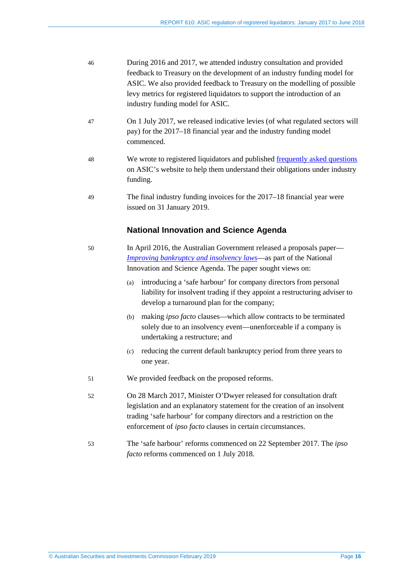<span id="page-15-0"></span>

| 46 | During 2016 and 2017, we attended industry consultation and provided<br>feedback to Treasury on the development of an industry funding model for<br>ASIC. We also provided feedback to Treasury on the modelling of possible<br>levy metrics for registered liquidators to support the introduction of an<br>industry funding model for ASIC. |
|----|-----------------------------------------------------------------------------------------------------------------------------------------------------------------------------------------------------------------------------------------------------------------------------------------------------------------------------------------------|
| 47 | On 1 July 2017, we released indicative levies (of what regulated sectors will<br>pay) for the 2017–18 financial year and the industry funding model<br>commenced.                                                                                                                                                                             |
| 48 | We wrote to registered liquidators and published frequently asked questions<br>on ASIC's website to help them understand their obligations under industry<br>funding.                                                                                                                                                                         |
| 49 | The final industry funding invoices for the 2017–18 financial year were<br>issued on 31 January 2019.                                                                                                                                                                                                                                         |
|    | <b>National Innovation and Science Agenda</b>                                                                                                                                                                                                                                                                                                 |
| 50 | In April 2016, the Australian Government released a proposals paper—<br><i>Improving bankruptcy and insolvency laws</i> —as part of the National<br>Innovation and Science Agenda. The paper sought views on:                                                                                                                                 |
|    | introducing a 'safe harbour' for company directors from personal<br>(a)<br>liability for insolvent trading if they appoint a restructuring adviser to<br>develop a turnaround plan for the company;                                                                                                                                           |
|    | making ipso facto clauses—which allow contracts to be terminated<br>(b)<br>solely due to an insolvency event—unenforceable if a company is<br>undertaking a restructure; and                                                                                                                                                                  |
|    | reducing the current default bankruptcy period from three years to<br>(c)<br>one year.                                                                                                                                                                                                                                                        |
| 51 | We provided feedback on the proposed reforms.                                                                                                                                                                                                                                                                                                 |
| 52 | On 28 March 2017, Minister O'Dwyer released for consultation draft<br>legislation and an explanatory statement for the creation of an insolvent<br>trading 'safe harbour' for company directors and a restriction on the<br>enforcement of <i>ipso facto</i> clauses in certain circumstances.                                                |
| 53 | The 'safe harbour' reforms commenced on 22 September 2017. The ipso<br>facto reforms commenced on 1 July 2018.                                                                                                                                                                                                                                |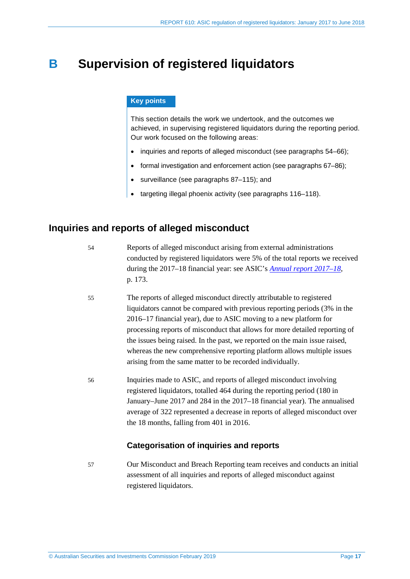# <span id="page-16-0"></span>**B Supervision of registered liquidators**

## **Key points**

This section details the work we undertook, and the outcomes we achieved, in supervising registered liquidators during the reporting period. Our work focused on the following areas:

- inquiries and reports of alleged misconduct (see paragraphs [54–](#page-16-2)[66\)](#page-19-0);
- formal investigation and enforcement action (see paragraphs [67](#page-20-1)[–86\)](#page-24-0);
- surveillance (see paragraphs [87–](#page-25-1)[115\)](#page-30-0); and
- targeting illegal phoenix activity (see paragraphs [116–](#page-31-1)[118\)](#page-31-2).

# <span id="page-16-2"></span><span id="page-16-1"></span>**Inquiries and reports of alleged misconduct**

Reports of alleged misconduct arising from external administrations conducted by registered liquidators were 5% of the total reports we received during the 2017–18 financial year: see ASIC's *[Annual report 2017–18](https://asic.gov.au/about-asic/corporate-publications/asic-annual-reports/#ar18)*, p. 173.

- 55 The reports of alleged misconduct directly attributable to registered liquidators cannot be compared with previous reporting periods (3% in the 2016–17 financial year), due to ASIC moving to a new platform for processing reports of misconduct that allows for more detailed reporting of the issues being raised. In the past, we reported on the main issue raised, whereas the new comprehensive reporting platform allows multiple issues arising from the same matter to be recorded individually.
- 56 Inquiries made to ASIC, and reports of alleged misconduct involving registered liquidators, totalled 464 during the reporting period (180 in January–June 2017 and 284 in the 2017–18 financial year). The annualised average of 322 represented a decrease in reports of alleged misconduct over the 18 months, falling from 401 in 2016.

## **Categorisation of inquiries and reports**

57 Our Misconduct and Breach Reporting team receives and conducts an initial assessment of all inquiries and reports of alleged misconduct against registered liquidators.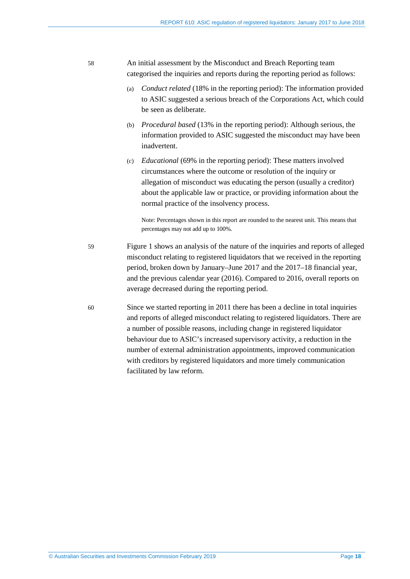## 58 An initial assessment by the Misconduct and Breach Reporting team categorised the inquiries and reports during the reporting period as follows:

- (a) *Conduct related* (18% in the reporting period): The information provided to ASIC suggested a serious breach of the Corporations Act, which could be seen as deliberate.
- (b) *Procedural based* (13% in the reporting period): Although serious, the information provided to ASIC suggested the misconduct may have been inadvertent.
- (c) *Educational* (69% in the reporting period): These matters involved circumstances where the outcome or resolution of the inquiry or allegation of misconduct was educating the person (usually a creditor) about the applicable law or practice, or providing information about the normal practice of the insolvency process.

Note: Percentages shown in this report are rounded to the nearest unit. This means that percentages may not add up to 100%.

- 59 [Figure 1](#page-18-0) shows an analysis of the nature of the inquiries and reports of alleged misconduct relating to registered liquidators that we received in the reporting period, broken down by January–June 2017 and the 2017–18 financial year, and the previous calendar year (2016). Compared to 2016, overall reports on average decreased during the reporting period.
- 60 Since we started reporting in 2011 there has been a decline in total inquiries and reports of alleged misconduct relating to registered liquidators. There are a number of possible reasons, including change in registered liquidator behaviour due to ASIC's increased supervisory activity, a reduction in the number of external administration appointments, improved communication with creditors by registered liquidators and more timely communication facilitated by law reform.

© Australian Securities and Investments Commission February 2019 Page **18**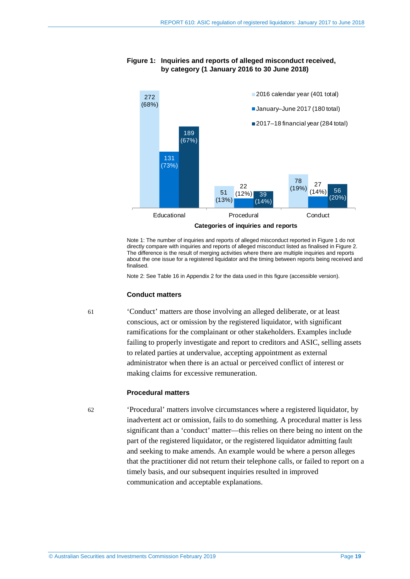<span id="page-18-0"></span>

#### **Figure 1: Inquiries and reports of alleged misconduct received, by category (1 January 2016 to 30 June 2018)**

Note 1: The number of inquiries and reports of alleged misconduct reported i[n Figure 1](#page-18-0) do not directly compare with inquiries and reports of alleged misconduct listed as finalised in [Figure 2.](#page-20-2) The difference is the result of merging activities where there are multiple inquiries and reports about the one issue for a registered liquidator and the timing between reports being received and finalised.

Note 2: See [Table](#page-50-1) 16 in Appendix 2 for the data used in this figure (accessible version).

#### **Conduct matters**

61 'Conduct' matters are those involving an alleged deliberate, or at least conscious, act or omission by the registered liquidator, with significant ramifications for the complainant or other stakeholders. Examples include failing to properly investigate and report to creditors and ASIC, selling assets to related parties at undervalue, accepting appointment as external administrator when there is an actual or perceived conflict of interest or making claims for excessive remuneration.

#### **Procedural matters**

62 'Procedural' matters involve circumstances where a registered liquidator, by inadvertent act or omission, fails to do something. A procedural matter is less significant than a 'conduct' matter—this relies on there being no intent on the part of the registered liquidator, or the registered liquidator admitting fault and seeking to make amends. An example would be where a person alleges that the practitioner did not return their telephone calls, or failed to report on a timely basis, and our subsequent inquiries resulted in improved communication and acceptable explanations.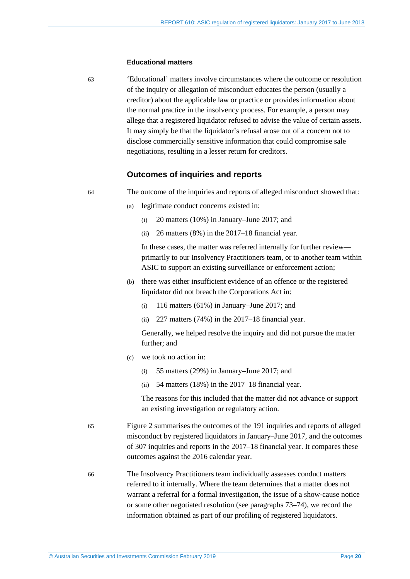#### **Educational matters**

63 'Educational' matters involve circumstances where the outcome or resolution of the inquiry or allegation of misconduct educates the person (usually a creditor) about the applicable law or practice or provides information about the normal practice in the insolvency process. For example, a person may allege that a registered liquidator refused to advise the value of certain assets. It may simply be that the liquidator's refusal arose out of a concern not to disclose commercially sensitive information that could compromise sale negotiations, resulting in a lesser return for creditors.

#### **Outcomes of inquiries and reports**

64 The outcome of the inquiries and reports of alleged misconduct showed that:

- (a) legitimate conduct concerns existed in:
	- (i) 20 matters (10%) in January–June 2017; and
	- (ii) 26 matters (8%) in the 2017–18 financial year.

In these cases, the matter was referred internally for further review primarily to our Insolvency Practitioners team, or to another team within ASIC to support an existing surveillance or enforcement action;

- (b) there was either insufficient evidence of an offence or the registered liquidator did not breach the Corporations Act in:
	- (i) 116 matters (61%) in January–June 2017; and
	- (ii) 227 matters (74%) in the 2017–18 financial year.

Generally, we helped resolve the inquiry and did not pursue the matter further; and

- (c) we took no action in:
	- (i) 55 matters (29%) in January–June 2017; and
	- (ii) 54 matters (18%) in the 2017–18 financial year.

The reasons for this included that the matter did not advance or support an existing investigation or regulatory action.

- 65 [Figure 2](#page-20-2) summarises the outcomes of the 191 inquiries and reports of alleged misconduct by registered liquidators in January–June 2017, and the outcomes of 307 inquiries and reports in the 2017–18 financial year. It compares these outcomes against the 2016 calendar year.
- <span id="page-19-0"></span>66 The Insolvency Practitioners team individually assesses conduct matters referred to it internally. Where the team determines that a matter does not warrant a referral for a formal investigation, the issue of a show-cause notice or some other negotiated resolution (see paragraphs [73–](#page-23-0)[74\)](#page-23-1), we record the information obtained as part of our profiling of registered liquidators.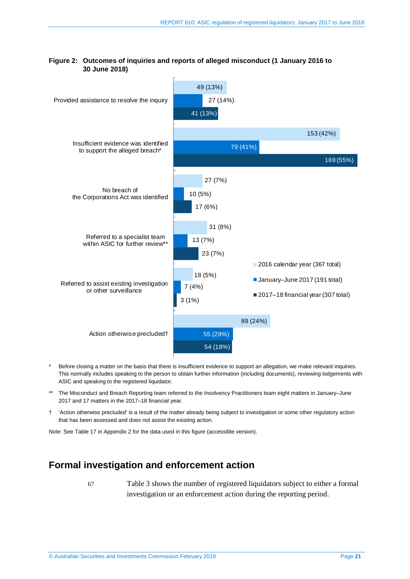

## <span id="page-20-2"></span>**Figure 2: Outcomes of inquiries and reports of alleged misconduct (1 January 2016 to 30 June 2018)**

- Before closing a matter on the basis that there is insufficient evidence to support an allegation, we make relevant inquiries. This normally includes speaking to the person to obtain further information (including documents), reviewing lodgements with ASIC and speaking to the registered liquidator.
- \*\* The Misconduct and Breach Reporting team referred to the Insolvency Practitioners team eight matters in January–June 2017 and 17 matters in the 2017–18 financial year.
- † 'Action otherwise precluded' is a result of the matter already being subject to investigation or some other regulatory action that has been assessed and does not assist the existing action.

<span id="page-20-0"></span>Note: Se[e Table](#page-50-2) 17 in Appendix 2 for the data used in this figure (accessible version).

# **Formal investigation and enforcement action**

<span id="page-20-1"></span>67 [Table 3](#page-21-0) shows the number of registered liquidators subject to either a formal investigation or an enforcement action during the reporting period.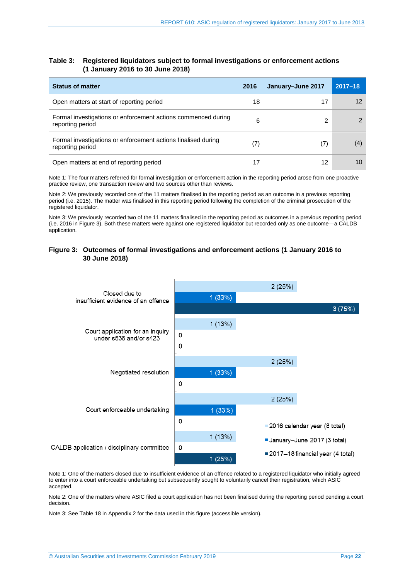#### <span id="page-21-0"></span>**Table 3: Registered liquidators subject to formal investigations or enforcement actions (1 January 2016 to 30 June 2018)**

| <b>Status of matter</b>                                                           | 2016 | January-June 2017 | $2017 - 18$ |
|-----------------------------------------------------------------------------------|------|-------------------|-------------|
| Open matters at start of reporting period                                         | 18   | 17                | 12          |
| Formal investigations or enforcement actions commenced during<br>reporting period | 6    |                   |             |
| Formal investigations or enforcement actions finalised during<br>reporting period | (7)  | (7)               | (4)         |
| Open matters at end of reporting period                                           | 17   | 12                | 10          |

Note 1: The four matters referred for formal investigation or enforcement action in the reporting period arose from one proactive practice review, one transaction review and two sources other than reviews.

Note 2: We previously recorded one of the 11 matters finalised in the reporting period as an outcome in a previous reporting period (i.e. 2015). The matter was finalised in this reporting period following the completion of the criminal prosecution of the registered liquidator.

Note 3: We previously recorded two of the 11 matters finalised in the reporting period as outcomes in a previous reporting period (i.e. 2016 in [Figure 3\)](#page-21-1). Both these matters were against one registered liquidator but recorded only as one outcome—a CALDB application.

#### <span id="page-21-1"></span>**Figure 3: Outcomes of formal investigations and enforcement actions (1 January 2016 to 30 June 2018)**



Note 1: One of the matters closed due to insufficient evidence of an offence related to a registered liquidator who initially agreed to enter into a court enforceable undertaking but subsequently sought to voluntarily cancel their registration, which ASIC accepted.

Note 2: One of the matters where ASIC filed a court application has not been finalised during the reporting period pending a court decision.

Note 3: Se[e Table](#page-51-0) 18 in Appendix 2 for the data used in this figure (accessible version).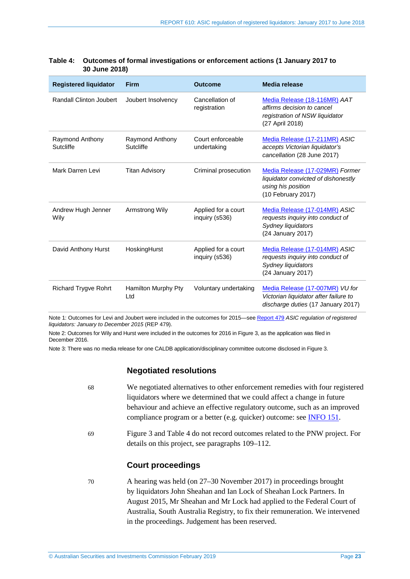| <b>Registered liquidator</b> | <b>Firm</b>                  | <b>Outcome</b>                        | <b>Media release</b>                                                                                               |
|------------------------------|------------------------------|---------------------------------------|--------------------------------------------------------------------------------------------------------------------|
| Randall Clinton Joubert      | Joubert Insolvency           | Cancellation of<br>registration       | Media Release (18-116MR) AAT<br>affirms decision to cancel<br>registration of NSW liquidator<br>(27 April 2018)    |
| Raymond Anthony<br>Sutcliffe | Raymond Anthony<br>Sutcliffe | Court enforceable<br>undertaking      | Media Release (17-211MR) ASIC<br>accepts Victorian liquidator's<br>cancellation (28 June 2017)                     |
| Mark Darren Levi             | <b>Titan Advisory</b>        | Criminal prosecution                  | Media Release (17-029MR) Former<br>liquidator convicted of dishonestly<br>using his position<br>(10 February 2017) |
| Andrew Hugh Jenner<br>Wily   | Armstrong Wily               | Applied for a court<br>inquiry (s536) | Media Release (17-014MR) ASIC<br>requests inquiry into conduct of<br>Sydney liquidators<br>(24 January 2017)       |
| David Anthony Hurst          | HoskingHurst                 | Applied for a court<br>inquiry (s536) | Media Release (17-014MR) ASIC<br>requests inquiry into conduct of<br>Sydney liquidators<br>(24 January 2017)       |
| <b>Richard Trygve Rohrt</b>  | Hamilton Murphy Pty<br>Ltd   | Voluntary undertaking                 | Media Release (17-007MR) VU for<br>Victorian liquidator after failure to<br>discharge duties (17 January 2017)     |

#### <span id="page-22-0"></span>**Table 4: Outcomes of formal investigations or enforcement actions (1 January 2017 to 30 June 2018)**

Note 1: Outcomes for Levi and Joubert were included in the outcomes for 2015—se[e Report 479](https://asic.gov.au/regulatory-resources/find-a-document/reports/rep-479-asic-regulation-of-registered-liquidators-january-to-december-2015/) *ASIC regulation of registered liquidators: January to December 2015* (REP 479).

Note 2: Outcomes for Wily and Hurst were included in the outcomes for 2016 in [Figure 3,](#page-21-1) as the application was filed in December 2016.

Note 3: There was no media release for one CALDB application/disciplinary committee outcome disclosed i[n Figure 3.](#page-21-1) 

## **Negotiated resolutions**

| 68 | We negotiated alternatives to other enforcement remedies with four registered                                                   |
|----|---------------------------------------------------------------------------------------------------------------------------------|
|    | liquidators where we determined that we could affect a change in future                                                         |
|    | behaviour and achieve an effective regulatory outcome, such as an improved                                                      |
|    | compliance program or a better (e.g. quicker) outcome: see <b>INFO 151</b> .                                                    |
| 69 | Figure 3 and Table 4 do not record outcomes related to the PNW project. For<br>details on this project, see paragraphs 109–112. |
|    |                                                                                                                                 |

## **Court proceedings**

70 A hearing was held (on 27–30 November 2017) in proceedings brought by liquidators John Sheahan and Ian Lock of Sheahan Lock Partners. In August 2015, Mr Sheahan and Mr Lock had applied to the Federal Court of Australia, South Australia Registry, to fix their remuneration. We intervened in the proceedings. Judgement has been reserved.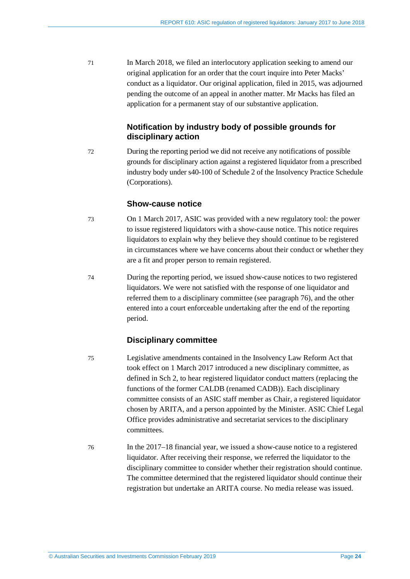71 In March 2018, we filed an interlocutory application seeking to amend our original application for an order that the court inquire into Peter Macks' conduct as a liquidator. Our original application, filed in 2015, was adjourned pending the outcome of an appeal in another matter. Mr Macks has filed an application for a permanent stay of our substantive application.

# **Notification by industry body of possible grounds for disciplinary action**

72 During the reporting period we did not receive any notifications of possible grounds for disciplinary action against a registered liquidator from a prescribed industry body under s40-100 of Schedule 2 of the Insolvency Practice Schedule (Corporations).

## **Show-cause notice**

- <span id="page-23-0"></span>73 On 1 March 2017, ASIC was provided with a new regulatory tool: the power to issue registered liquidators with a show-cause notice. This notice requires liquidators to explain why they believe they should continue to be registered in circumstances where we have concerns about their conduct or whether they are a fit and proper person to remain registered.
- <span id="page-23-1"></span>74 During the reporting period, we issued show-cause notices to two registered liquidators. We were not satisfied with the response of one liquidator and referred them to a disciplinary committee (see paragraph [76\)](#page-23-2), and the other entered into a court enforceable undertaking after the end of the reporting period.

# **Disciplinary committee**

- 75 Legislative amendments contained in the Insolvency Law Reform Act that took effect on 1 March 2017 introduced a new disciplinary committee, as defined in Sch 2, to hear registered liquidator conduct matters (replacing the functions of the former CALDB (renamed CADB)). Each disciplinary committee consists of an ASIC staff member as Chair, a registered liquidator chosen by ARITA, and a person appointed by the Minister. ASIC Chief Legal Office provides administrative and secretariat services to the disciplinary committees.
- <span id="page-23-2"></span>76 In the 2017–18 financial year, we issued a show-cause notice to a registered liquidator. After receiving their response, we referred the liquidator to the disciplinary committee to consider whether their registration should continue. The committee determined that the registered liquidator should continue their registration but undertake an ARITA course. No media release was issued.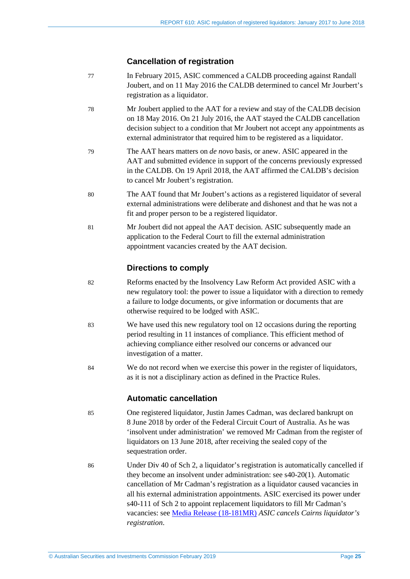## **Cancellation of registration**

- 77 In February 2015, ASIC commenced a CALDB proceeding against Randall Joubert, and on 11 May 2016 the CALDB determined to cancel Mr Jourbert's registration as a liquidator.
- 78 Mr Joubert applied to the AAT for a review and stay of the CALDB decision on 18 May 2016. On 21 July 2016, the AAT stayed the CALDB cancellation decision subject to a condition that Mr Joubert not accept any appointments as external administrator that required him to be registered as a liquidator.
- 79 The AAT hears matters on *de novo* basis, or anew. ASIC appeared in the AAT and submitted evidence in support of the concerns previously expressed in the CALDB. On 19 April 2018, the AAT affirmed the CALDB's decision to cancel Mr Joubert's registration.
- 80 The AAT found that Mr Joubert's actions as a registered liquidator of several external administrations were deliberate and dishonest and that he was not a fit and proper person to be a registered liquidator.
- 81 Mr Joubert did not appeal the AAT decision. ASIC subsequently made an application to the Federal Court to fill the external administration appointment vacancies created by the AAT decision.

## **Directions to comply**

- 82 Reforms enacted by the Insolvency Law Reform Act provided ASIC with a new regulatory tool: the power to issue a liquidator with a direction to remedy a failure to lodge documents, or give information or documents that are otherwise required to be lodged with ASIC.
- 83 We have used this new regulatory tool on 12 occasions during the reporting period resulting in 11 instances of compliance. This efficient method of achieving compliance either resolved our concerns or advanced our investigation of a matter.
- 84 We do not record when we exercise this power in the register of liquidators, as it is not a disciplinary action as defined in the Practice Rules.

## **Automatic cancellation**

- 85 One registered liquidator, Justin James Cadman, was declared bankrupt on 8 June 2018 by order of the Federal Circuit Court of Australia. As he was 'insolvent under administration' we removed Mr Cadman from the register of liquidators on 13 June 2018, after receiving the sealed copy of the sequestration order.
- <span id="page-24-0"></span>86 Under Div 40 of Sch 2, a liquidator's registration is automatically cancelled if they become an insolvent under administration: see s40-20(1). Automatic cancellation of Mr Cadman's registration as a liquidator caused vacancies in all his external administration appointments. ASIC exercised its power under s40-111 of Sch 2 to appoint replacement liquidators to fill Mr Cadman's vacancies: se[e Media Release \(18-181MR\)](https://asic.gov.au/about-asic/news-centre/find-a-media-release/2018-releases/18-181mr-asic-cancels-cairns-liquidator-s-registration/) *ASIC cancels Cairns liquidator's registration*.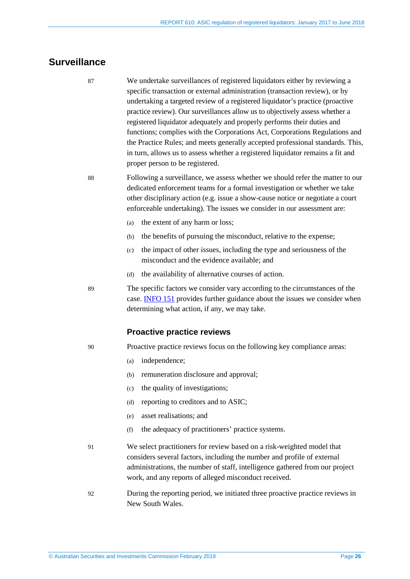# <span id="page-25-1"></span><span id="page-25-0"></span>**Surveillance**

87 We undertake surveillances of registered liquidators either by reviewing a specific transaction or external administration (transaction review), or by undertaking a targeted review of a registered liquidator's practice (proactive practice review). Our surveillances allow us to objectively assess whether a registered liquidator adequately and properly performs their duties and functions; complies with the Corporations Act, Corporations Regulations and the Practice Rules; and meets generally accepted professional standards. This, in turn, allows us to assess whether a registered liquidator remains a fit and proper person to be registered.

88 Following a surveillance, we assess whether we should refer the matter to our dedicated enforcement teams for a formal investigation or whether we take other disciplinary action (e.g. issue a show-cause notice or negotiate a court enforceable undertaking). The issues we consider in our assessment are:

- (a) the extent of any harm or loss;
- (b) the benefits of pursuing the misconduct, relative to the expense;
- (c) the impact of other issues, including the type and seriousness of the misconduct and the evidence available; and
- (d) the availability of alternative courses of action.

89 The specific factors we consider vary according to the circumstances of the case. [INFO 151](https://asic.gov.au/about-asic/asic-investigations-and-enforcement/asic-s-approach-to-enforcement/) provides further guidance about the issues we consider when determining what action, if any, we may take.

#### **Proactive practice reviews**

90 Proactive practice reviews focus on the following key compliance areas:

- (a) independence;
- (b) remuneration disclosure and approval;
- (c) the quality of investigations;
- (d) reporting to creditors and to ASIC;
- (e) asset realisations; and
- (f) the adequacy of practitioners' practice systems.
- 91 We select practitioners for review based on a risk-weighted model that considers several factors, including the number and profile of external administrations, the number of staff, intelligence gathered from our project work, and any reports of alleged misconduct received.
- 92 During the reporting period, we initiated three proactive practice reviews in New South Wales.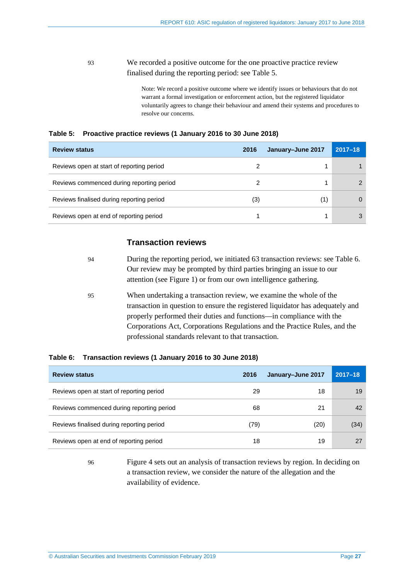## 93 We recorded a positive outcome for the one proactive practice review finalised during the reporting period: see [Table 5.](#page-26-0)

Note: We record a positive outcome where we identify issues or behaviours that do not warrant a formal investigation or enforcement action, but the registered liquidator voluntarily agrees to change their behaviour and amend their systems and procedures to resolve our concerns.

<span id="page-26-0"></span>

|  | Table 5: Proactive practice reviews (1 January 2016 to 30 June 2018) |  |  |  |  |  |  |  |  |
|--|----------------------------------------------------------------------|--|--|--|--|--|--|--|--|
|--|----------------------------------------------------------------------|--|--|--|--|--|--|--|--|

| <b>Review status</b>                      | 2016 | January-June 2017 | $2017 - 18$ |
|-------------------------------------------|------|-------------------|-------------|
| Reviews open at start of reporting period |      |                   |             |
| Reviews commenced during reporting period |      |                   |             |
| Reviews finalised during reporting period | (3)  | (1)               |             |
| Reviews open at end of reporting period   |      |                   |             |

# **Transaction reviews**

<span id="page-26-2"></span>

| -94 | During the reporting period, we initiated 63 transaction reviews: see Table 6.                                                                                                                                                                                                                                                                                                                                                                              |
|-----|-------------------------------------------------------------------------------------------------------------------------------------------------------------------------------------------------------------------------------------------------------------------------------------------------------------------------------------------------------------------------------------------------------------------------------------------------------------|
|     | Our review may be prompted by third parties bringing an issue to our                                                                                                                                                                                                                                                                                                                                                                                        |
|     | attention (see Figure 1) or from our own intelligence gathering.                                                                                                                                                                                                                                                                                                                                                                                            |
| -95 | When undertaking a transaction review, we examine the whole of the                                                                                                                                                                                                                                                                                                                                                                                          |
|     | $\mathcal{L} = \{ \mathcal{L}^{\mathcal{L}} \mathcal{L}^{\mathcal{L}} \mathcal{L}^{\mathcal{L}} \mathcal{L}^{\mathcal{L}} \mathcal{L}^{\mathcal{L}} \mathcal{L}^{\mathcal{L}} \mathcal{L}^{\mathcal{L}} \mathcal{L}^{\mathcal{L}} \mathcal{L}^{\mathcal{L}} \mathcal{L}^{\mathcal{L}} \mathcal{L}^{\mathcal{L}} \mathcal{L}^{\mathcal{L}} \mathcal{L}^{\mathcal{L}} \mathcal{L}^{\mathcal{L}} \mathcal{L}^{\mathcal{L}} \mathcal{L}^{\mathcal{L}} \mathcal$ |

transaction in question to ensure the registered liquidator has adequately and properly performed their duties and functions—in compliance with the Corporations Act, Corporations Regulations and the Practice Rules, and the professional standards relevant to that transaction.

#### <span id="page-26-1"></span>**Table 6: Transaction reviews (1 January 2016 to 30 June 2018)**

| <b>Review status</b>                      | 2016 | January-June 2017 | $2017 - 18$ |
|-------------------------------------------|------|-------------------|-------------|
| Reviews open at start of reporting period | 29   | 18                | 19          |
| Reviews commenced during reporting period | 68   | 21                | 42          |
| Reviews finalised during reporting period | (79) | (20)              | (34)        |
| Reviews open at end of reporting period   | 18   | 19                |             |

96 [Figure 4](#page-27-0) sets out an analysis of transaction reviews by region. In deciding on a transaction review, we consider the nature of the allegation and the availability of evidence.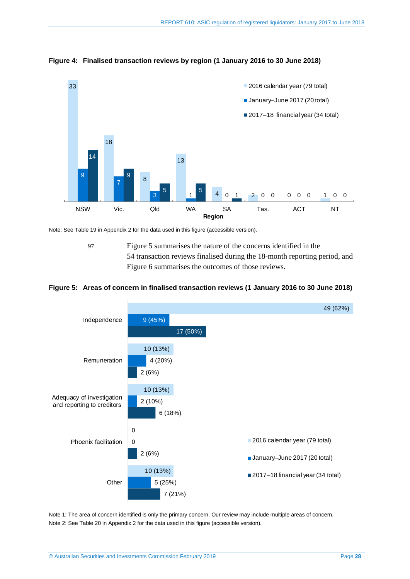

#### <span id="page-27-0"></span>**Figure 4: Finalised transaction reviews by region (1 January 2016 to 30 June 2018)**

Note: Se[e Table](#page-51-1) 19 in Appendix 2 for the data used in this figure (accessible version).

<span id="page-27-2"></span>97 [Figure 5](#page-27-1) summarises the nature of the concerns identified in the 54 transaction reviews finalised during the 18-month reporting period, and [Figure 6](#page-28-0) summarises the outcomes of those reviews.

#### <span id="page-27-1"></span>**Figure 5: Areas of concern in finalised transaction reviews (1 January 2016 to 30 June 2018)**



Note 1: The area of concern identified is only the primary concern. Our review may include multiple areas of concern. Note 2: Se[e Table](#page-51-2) 20 in Appendix 2 for the data used in this figure (accessible version).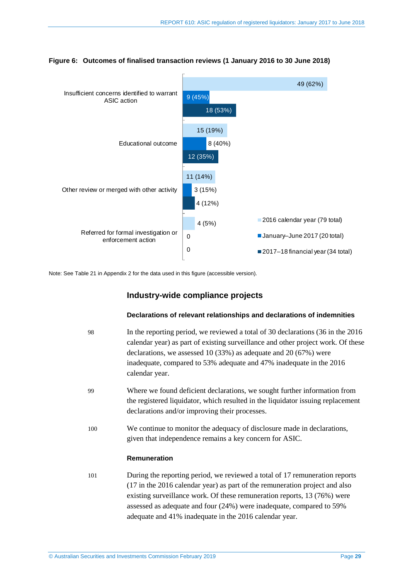

#### <span id="page-28-0"></span>**Figure 6: Outcomes of finalised transaction reviews (1 January 2016 to 30 June 2018)**

Note: Se[e Table](#page-52-0) 21 in Appendix 2 for the data used in this figure (accessible version).

## **Industry-wide compliance projects**

#### **Declarations of relevant relationships and declarations of indemnities**

<span id="page-28-2"></span><span id="page-28-1"></span>

| 98  | In the reporting period, we reviewed a total of 30 declarations (36 in the 2016)<br>calendar year) as part of existing surveillance and other project work. Of these<br>declarations, we assessed 10 (33%) as adequate and 20 (67%) were<br>inadequate, compared to 53% adequate and 47% inadequate in the 2016<br>calendar year.                                        |
|-----|--------------------------------------------------------------------------------------------------------------------------------------------------------------------------------------------------------------------------------------------------------------------------------------------------------------------------------------------------------------------------|
| 99  | Where we found deficient declarations, we sought further information from<br>the registered liquidator, which resulted in the liquidator issuing replacement<br>declarations and/or improving their processes.                                                                                                                                                           |
| 100 | We continue to monitor the adequacy of disclosure made in declarations,<br>given that independence remains a key concern for ASIC.                                                                                                                                                                                                                                       |
|     | Remuneration                                                                                                                                                                                                                                                                                                                                                             |
| 101 | During the reporting period, we reviewed a total of 17 remuneration reports<br>(17 in the 2016 calendar year) as part of the remuneration project and also<br>existing surveillance work. Of these remuneration reports, 13 (76%) were<br>assessed as adequate and four (24%) were inadequate, compared to 59%<br>adequate and 41% inadequate in the 2016 calendar year. |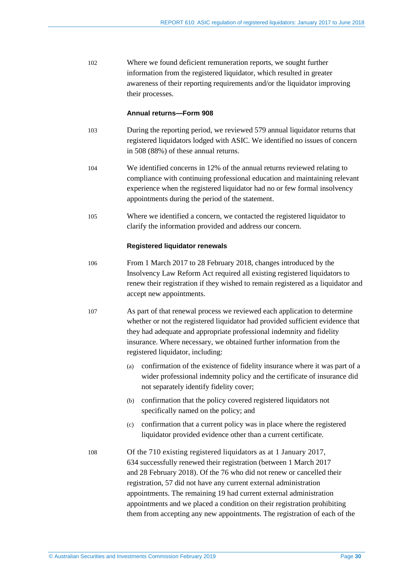102 Where we found deficient remuneration reports, we sought further information from the registered liquidator, which resulted in greater awareness of their reporting requirements and/or the liquidator improving their processes.

#### **Annual returns—Form 908**

- 103 During the reporting period, we reviewed 579 annual liquidator returns that registered liquidators lodged with ASIC. We identified no issues of concern in 508 (88%) of these annual returns.
- 104 We identified concerns in 12% of the annual returns reviewed relating to compliance with continuing professional education and maintaining relevant experience when the registered liquidator had no or few formal insolvency appointments during the period of the statement.
- 105 Where we identified a concern, we contacted the registered liquidator to clarify the information provided and address our concern.

#### **Registered liquidator renewals**

- 106 From 1 March 2017 to 28 February 2018, changes introduced by the Insolvency Law Reform Act required all existing registered liquidators to renew their registration if they wished to remain registered as a liquidator and accept new appointments.
- 107 As part of that renewal process we reviewed each application to determine whether or not the registered liquidator had provided sufficient evidence that they had adequate and appropriate professional indemnity and fidelity insurance. Where necessary, we obtained further information from the registered liquidator, including:
	- (a) confirmation of the existence of fidelity insurance where it was part of a wider professional indemnity policy and the certificate of insurance did not separately identify fidelity cover;
	- (b) confirmation that the policy covered registered liquidators not specifically named on the policy; and
	- (c) confirmation that a current policy was in place where the registered liquidator provided evidence other than a current certificate.
- 108 Of the 710 existing registered liquidators as at 1 January 2017, 634 successfully renewed their registration (between 1 March 2017 and 28 February 2018). Of the 76 who did not renew or cancelled their registration, 57 did not have any current external administration appointments. The remaining 19 had current external administration appointments and we placed a condition on their registration prohibiting them from accepting any new appointments. The registration of each of the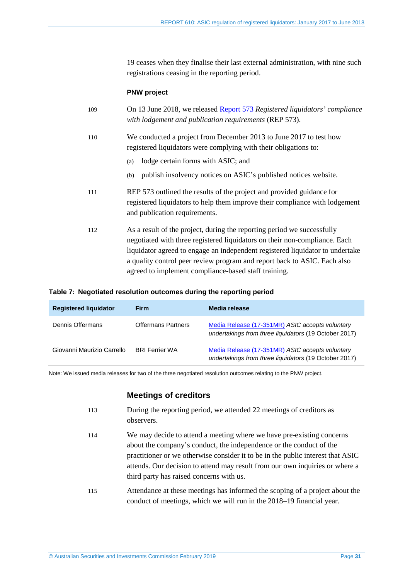19 ceases when they finalise their last external administration, with nine such registrations ceasing in the reporting period.

#### **PNW project**

<span id="page-30-1"></span>

| 109 | On 13 June 2018, we released Report 573 Registered liquidators' compliance<br>with lodgement and publication requirements (REP 573).                                                                                                                                                                                                                                       |
|-----|----------------------------------------------------------------------------------------------------------------------------------------------------------------------------------------------------------------------------------------------------------------------------------------------------------------------------------------------------------------------------|
| 110 | We conducted a project from December 2013 to June 2017 to test how<br>registered liquidators were complying with their obligations to:                                                                                                                                                                                                                                     |
|     | lodge certain forms with ASIC; and<br>(a)                                                                                                                                                                                                                                                                                                                                  |
|     | publish insolvency notices on ASIC's published notices website.<br>(b)                                                                                                                                                                                                                                                                                                     |
| 111 | REP 573 outlined the results of the project and provided guidance for<br>registered liquidators to help them improve their compliance with lodgement<br>and publication requirements.                                                                                                                                                                                      |
| 112 | As a result of the project, during the reporting period we successfully<br>negotiated with three registered liquidators on their non-compliance. Each<br>liquidator agreed to engage an independent registered liquidator to undertake<br>a quality control peer review program and report back to ASIC. Each also<br>agreed to implement compliance-based staff training. |

#### <span id="page-30-2"></span>**Table 7: Negotiated resolution outcomes during the reporting period**

| <b>Registered liguidator</b> | <b>Firm</b>               | Media release                                                                                            |
|------------------------------|---------------------------|----------------------------------------------------------------------------------------------------------|
| Dennis Offermans             | <b>Offermans Partners</b> | Media Release (17-351MR) ASIC accepts voluntary<br>undertakings from three liquidators (19 October 2017) |
| Giovanni Maurizio Carrello   | <b>BRI Ferrier WA</b>     | Media Release (17-351MR) ASIC accepts voluntary<br>undertakings from three liquidators (19 October 2017) |

<span id="page-30-3"></span>Note: We issued media releases for two of the three negotiated resolution outcomes relating to the PNW project.

## **Meetings of creditors**

- 113 During the reporting period, we attended 22 meetings of creditors as observers.
- 114 We may decide to attend a meeting where we have pre-existing concerns about the company's conduct, the independence or the conduct of the practitioner or we otherwise consider it to be in the public interest that ASIC attends. Our decision to attend may result from our own inquiries or where a third party has raised concerns with us.
- <span id="page-30-0"></span>115 Attendance at these meetings has informed the scoping of a project about the conduct of meetings, which we will run in the 2018–19 financial year.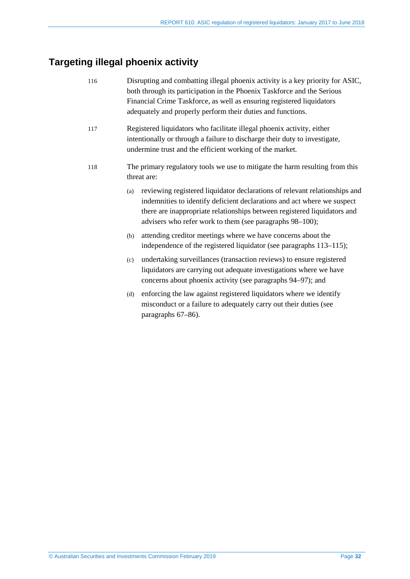# <span id="page-31-1"></span><span id="page-31-0"></span>**Targeting illegal phoenix activity**

<span id="page-31-2"></span>

| 116 |     | Disrupting and combatting illegal phoenix activity is a key priority for ASIC,<br>both through its participation in the Phoenix Taskforce and the Serious<br>Financial Crime Taskforce, as well as ensuring registered liquidators<br>adequately and properly perform their duties and functions. |
|-----|-----|---------------------------------------------------------------------------------------------------------------------------------------------------------------------------------------------------------------------------------------------------------------------------------------------------|
| 117 |     | Registered liquidators who facilitate illegal phoenix activity, either<br>intentionally or through a failure to discharge their duty to investigate,<br>undermine trust and the efficient working of the market.                                                                                  |
| 118 |     | The primary regulatory tools we use to mitigate the harm resulting from this<br>threat are:                                                                                                                                                                                                       |
|     | (a) | reviewing registered liquidator declarations of relevant relationships and<br>indemnities to identify deficient declarations and act where we suspect<br>there are inappropriate relationships between registered liquidators and<br>advisers who refer work to them (see paragraphs 98–100);     |
|     | (b) | attending creditor meetings where we have concerns about the<br>independence of the registered liquidator (see paragraphs 113–115);                                                                                                                                                               |
|     | (c) | undertaking surveillances (transaction reviews) to ensure registered<br>liquidators are carrying out adequate investigations where we have<br>concerns about phoenix activity (see paragraphs 94–97); and                                                                                         |
|     |     |                                                                                                                                                                                                                                                                                                   |

(d) enforcing the law against registered liquidators where we identify misconduct or a failure to adequately carry out their duties (see paragraphs [67–](#page-20-1)[86\)](#page-24-0).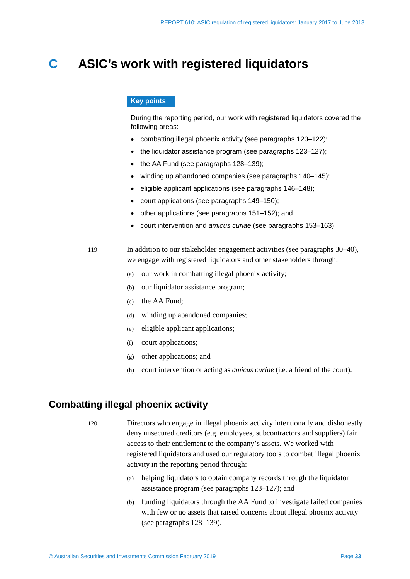# <span id="page-32-0"></span>**C ASIC's work with registered liquidators**

#### **Key points**

During the reporting period, our work with registered liquidators covered the following areas:

- combatting illegal phoenix activity (see paragraphs [120–](#page-32-2)[122\)](#page-33-1);
- the liquidator assistance program (see paragraphs [123–](#page-33-2)[127\)](#page-33-3);
- the AA Fund (see paragraphs [128–](#page-34-1)[139\)](#page-36-1):
- winding up abandoned companies (see paragraphs [140](#page-36-2)[–145\)](#page-37-1);
- eligible applicant applications (see paragraphs [146–](#page-37-2)[148\)](#page-37-3);
- court applications (see paragraphs [149](#page-38-3)[–150\)](#page-38-4);
- other applications (see paragraphs [151–](#page-38-5)[152\)](#page-38-6); and
- court intervention and *amicus curiae* (see paragraphs [153–](#page-38-7)[163\)](#page-39-0).

119 In addition to our stakeholder engagement activities (see paragraphs [30](#page-12-2)[–40\)](#page-13-0), we engage with registered liquidators and other stakeholders through:

- (a) our work in combatting illegal phoenix activity;
- (b) our liquidator assistance program;
- (c) the AA Fund;
- (d) winding up abandoned companies;
- (e) eligible applicant applications;
- (f) court applications;
- (g) other applications; and
- (h) court intervention or acting as *amicus curiae* (i.e. a friend of the court).

# <span id="page-32-2"></span><span id="page-32-1"></span>**Combatting illegal phoenix activity**

120 Directors who engage in illegal phoenix activity intentionally and dishonestly deny unsecured creditors (e.g. employees, subcontractors and suppliers) fair access to their entitlement to the company's assets. We worked with registered liquidators and used our regulatory tools to combat illegal phoenix activity in the reporting period through:

- (a) helping liquidators to obtain company records through the liquidator assistance program (see paragraphs [123–](#page-33-2)[127\)](#page-33-3); and
- (b) funding liquidators through the AA Fund to investigate failed companies with few or no assets that raised concerns about illegal phoenix activity (see paragraphs [128–](#page-34-1)[139\)](#page-36-1).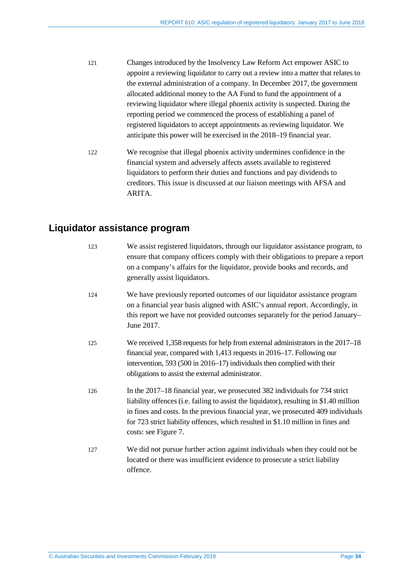- 121 Changes introduced by the Insolvency Law Reform Act empower ASIC to appoint a reviewing liquidator to carry out a review into a matter that relates to the external administration of a company. In December 2017, the government allocated additional money to the AA Fund to fund the appointment of a reviewing liquidator where illegal phoenix activity is suspected. During the reporting period we commenced the process of establishing a panel of registered liquidators to accept appointments as reviewing liquidator. We anticipate this power will be exercised in the 2018–19 financial year.
- <span id="page-33-1"></span>122 We recognise that illegal phoenix activity undermines confidence in the financial system and adversely affects assets available to registered liquidators to perform their duties and functions and pay dividends to creditors. This issue is discussed at our liaison meetings with AFSA and **ARITA**

# <span id="page-33-2"></span><span id="page-33-0"></span>**Liquidator assistance program**

<span id="page-33-3"></span>

| 123 | We assist registered liquidators, through our liquidator assistance program, to<br>ensure that company officers comply with their obligations to prepare a report<br>on a company's affairs for the liquidator, provide books and records, and<br>generally assist liquidators.                                                                                         |
|-----|-------------------------------------------------------------------------------------------------------------------------------------------------------------------------------------------------------------------------------------------------------------------------------------------------------------------------------------------------------------------------|
| 124 | We have previously reported outcomes of our liquidator assistance program<br>on a financial year basis aligned with ASIC's annual report. Accordingly, in<br>this report we have not provided outcomes separately for the period January-<br>June 2017.                                                                                                                 |
| 125 | We received 1,358 requests for help from external administrators in the 2017–18<br>financial year, compared with 1,413 requests in 2016–17. Following our<br>intervention, 593 (500 in 2016–17) individuals then complied with their<br>obligations to assist the external administrator.                                                                               |
| 126 | In the 2017–18 financial year, we prosecuted 382 individuals for 734 strict<br>liability offences (i.e. failing to assist the liquidator), resulting in \$1.40 million<br>in fines and costs. In the previous financial year, we prosecuted 409 individuals<br>for 723 strict liability offences, which resulted in \$1.10 million in fines and<br>costs: see Figure 7. |
| 127 | We did not pursue further action against individuals when they could not be<br>located or there was insufficient evidence to prosecute a strict liability<br>offence.                                                                                                                                                                                                   |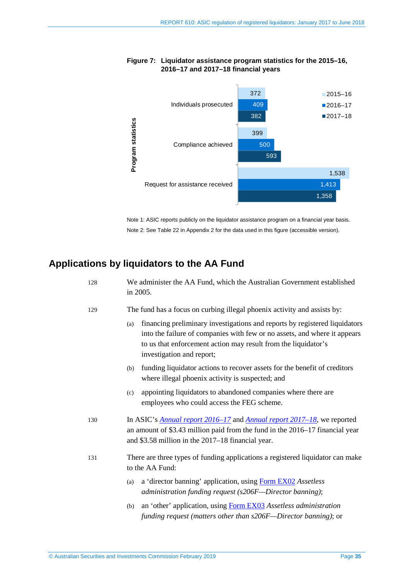<span id="page-34-2"></span>

## **Figure 7: Liquidator assistance program statistics for the 2015–16, 2016–17 and 2017–18 financial years**

Note 1: ASIC reports publicly on the liquidator assistance program on a financial year basis. Note 2: See [Table](#page-52-1) 22 in Appendix 2 for the data used in this figure (accessible version).

# <span id="page-34-1"></span><span id="page-34-0"></span>**Applications by liquidators to the AA Fund**

| 128 | We administer the AA Fund, which the Australian Government established<br>in 2005.                                                                                                                                                                            |  |  |
|-----|---------------------------------------------------------------------------------------------------------------------------------------------------------------------------------------------------------------------------------------------------------------|--|--|
| 129 | The fund has a focus on curbing illegal phoenix activity and assists by:                                                                                                                                                                                      |  |  |
|     | financing preliminary investigations and reports by registered liquidators<br>(a)<br>into the failure of companies with few or no assets, and where it appears<br>to us that enforcement action may result from the liquidator's<br>investigation and report; |  |  |
|     | funding liquidator actions to recover assets for the benefit of creditors<br>(b)<br>where illegal phoenix activity is suspected; and                                                                                                                          |  |  |
|     | appointing liquidators to abandoned companies where there are<br>(c)<br>employees who could access the FEG scheme.                                                                                                                                            |  |  |
| 130 | In ASIC's <b>Annual report 2016–17</b> and <b>Annual report 2017–18</b> , we reported<br>an amount of \$3.43 million paid from the fund in the 2016-17 financial year<br>and \$3.58 million in the 2017–18 financial year.                                    |  |  |
| 131 | There are three types of funding applications a registered liquidator can make<br>to the AA Fund:                                                                                                                                                             |  |  |
|     | a 'director banning' application, using Form EX02 Assetless<br>(a)<br>administration funding request (s206F-Director banning);                                                                                                                                |  |  |
|     | an 'other' application, using Form EX03 Assetless administration<br>(b)<br>funding request (matters other than s206F—Director banning); or                                                                                                                    |  |  |
|     |                                                                                                                                                                                                                                                               |  |  |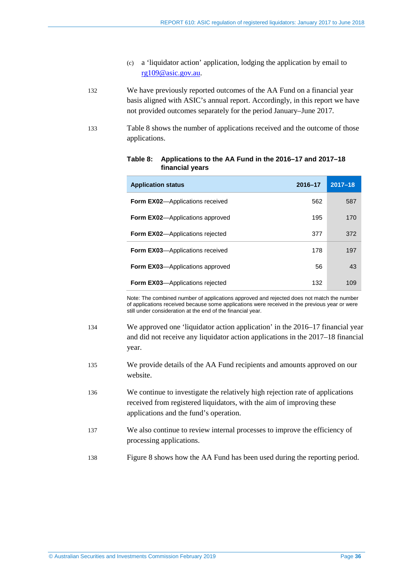- (c) a 'liquidator action' application, lodging the application by email to [rg109@asic.gov.au.](mailto:rg109@asic.gov.au)
- 132 We have previously reported outcomes of the AA Fund on a financial year basis aligned with ASIC's annual report. Accordingly, in this report we have not provided outcomes separately for the period January–June 2017.
- <span id="page-35-0"></span>133 [Table 8](#page-35-0) shows the number of applications received and the outcome of those applications.

| <b>Application status</b>               | 2016-17 | $2017 - 18$ |
|-----------------------------------------|---------|-------------|
| <b>Form EX02</b> —Applications received | 562     | 587         |
| <b>Form EX02</b> —Applications approved | 195     | 170         |
| <b>Form EX02</b> —Applications rejected | 377     | 372         |
| Form EX03-Applications received         | 178     | 197         |
| <b>Form EX03</b> —Applications approved | 56      | 43          |
| <b>Form EX03</b> —Applications rejected | 132     | 109         |

#### **Table 8: Applications to the AA Fund in the 2016–17 and 2017–18 financial years**

Note: The combined number of applications approved and rejected does not match the number of applications received because some applications were received in the previous year or were still under consideration at the end of the financial year.

- 134 We approved one 'liquidator action application' in the 2016–17 financial year and did not receive any liquidator action applications in the 2017–18 financial year.
- 135 We provide details of the AA Fund recipients and amounts approved on our website.
- 136 We continue to investigate the relatively high rejection rate of applications received from registered liquidators, with the aim of improving these applications and the fund's operation.
- 137 We also continue to review internal processes to improve the efficiency of processing applications.
- 138 [Figure 8](#page-36-3) shows how the AA Fund has been used during the reporting period.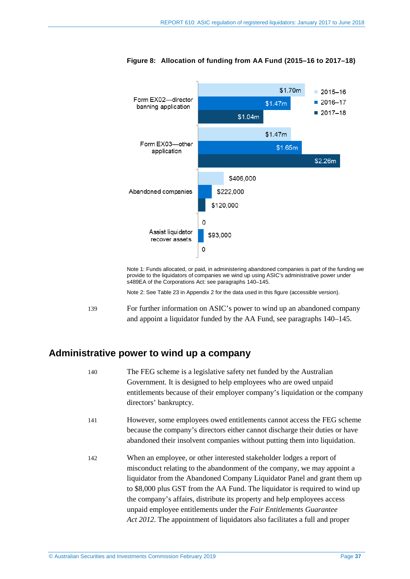

<span id="page-36-3"></span>**Figure 8: Allocation of funding from AA Fund (2015–16 to 2017–18)**

Note 1: Funds allocated, or paid, in administering abandoned companies is part of the funding we provide to the liquidators of companies we wind up using ASIC's administrative power under s489EA of the Corporations Act: see paragraphs [140](#page-36-2)[–145.](#page-37-1)

Note 2: See [Table](#page-52-2) 23 in Appendix 2 for the data used in this figure (accessible version).

<span id="page-36-1"></span>139 For further information on ASIC's power to wind up an abandoned company and appoint a liquidator funded by the AA Fund, see paragraph[s 140](#page-36-2)[–145.](#page-37-1)

# <span id="page-36-2"></span><span id="page-36-0"></span>**Administrative power to wind up a company**

| 140 | The FEG scheme is a legislative safety net funded by the Australian<br>Government. It is designed to help employees who are owed unpaid<br>entitlements because of their employer company's liquidation or the company<br>directors' bankruptcy.                                                                                                                                                                                                             |
|-----|--------------------------------------------------------------------------------------------------------------------------------------------------------------------------------------------------------------------------------------------------------------------------------------------------------------------------------------------------------------------------------------------------------------------------------------------------------------|
| 141 | However, some employees owed entitlements cannot access the FEG scheme<br>because the company's directors either cannot discharge their duties or have<br>abandoned their insolvent companies without putting them into liquidation.                                                                                                                                                                                                                         |
| 142 | When an employee, or other interested stakeholder lodges a report of<br>misconduct relating to the abandonment of the company, we may appoint a<br>liquidator from the Abandoned Company Liquidator Panel and grant them up<br>to \$8,000 plus GST from the AA Fund. The liquidator is required to wind up<br>the company's affairs, distribute its property and help employees access<br>unpaid employee entitlements under the Fair Entitlements Guarantee |

*Act 2012*. The appointment of liquidators also facilitates a full and proper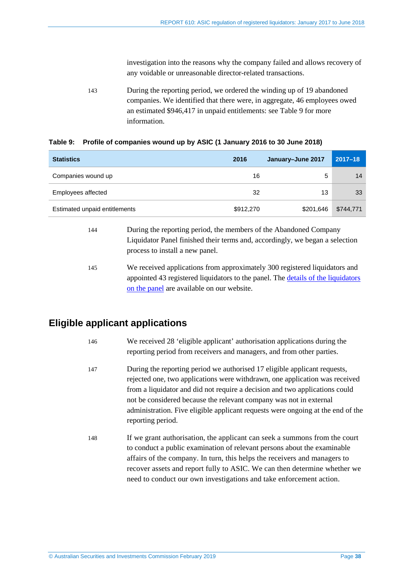investigation into the reasons why the company failed and allows recovery of any voidable or unreasonable director-related transactions.

143 During the reporting period, we ordered the winding up of 19 abandoned companies. We identified that there were, in aggregate, 46 employees owed an estimated \$946,417 in unpaid entitlements: se[e Table 9](#page-37-4) for more information.

<span id="page-37-4"></span>

|  | Table 9: Profile of companies wound up by ASIC (1 January 2016 to 30 June 2018) |  |  |  |
|--|---------------------------------------------------------------------------------|--|--|--|
|--|---------------------------------------------------------------------------------|--|--|--|

| <b>Statistics</b>             | 2016      | January-June 2017 | $2017 - 18$ |
|-------------------------------|-----------|-------------------|-------------|
| Companies wound up            | 16        | 5                 | 14          |
| Employees affected            | 32        | 13                | 33          |
| Estimated unpaid entitlements | \$912,270 | \$201,646         | \$744,771   |

# <span id="page-37-1"></span>Liquidator Panel finished their terms and, accordingly, we began a selection process to install a new panel.

144 During the reporting period, the members of the Abandoned Company

145 We received applications from approximately 300 registered liquidators and appointed 43 registered liquidators to the panel. The [details of the liquidators](https://asic.gov.au/for-finance-professionals/registered-liquidators/your-ongoing-obligations-as-a-registered-liquidator/assetless-administration-fund/abandoned-company-liquidator-panel-members/)  [on the panel](https://asic.gov.au/for-finance-professionals/registered-liquidators/your-ongoing-obligations-as-a-registered-liquidator/assetless-administration-fund/abandoned-company-liquidator-panel-members/) are available on our website.

# <span id="page-37-2"></span><span id="page-37-0"></span>**Eligible applicant applications**

| 146 | We received 28 'eligible applicant' authorisation applications during the |
|-----|---------------------------------------------------------------------------|
|     | reporting period from receivers and managers, and from other parties.     |

- 147 During the reporting period we authorised 17 eligible applicant requests, rejected one, two applications were withdrawn, one application was received from a liquidator and did not require a decision and two applications could not be considered because the relevant company was not in external administration. Five eligible applicant requests were ongoing at the end of the reporting period.
- <span id="page-37-3"></span>148 If we grant authorisation, the applicant can seek a summons from the court to conduct a public examination of relevant persons about the examinable affairs of the company. In turn, this helps the receivers and managers to recover assets and report fully to ASIC. We can then determine whether we need to conduct our own investigations and take enforcement action.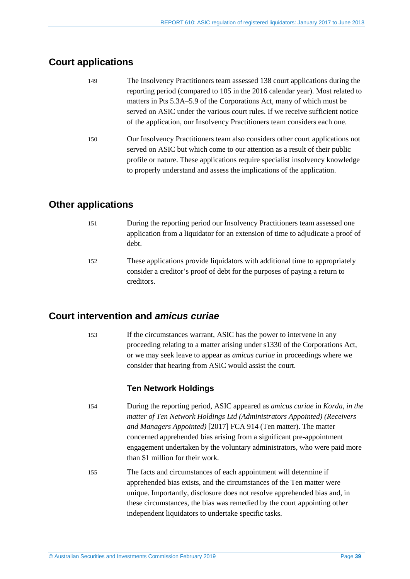# <span id="page-38-3"></span><span id="page-38-0"></span>**Court applications**

<span id="page-38-4"></span>

| 149 | The Insolvency Practitioners team assessed 138 court applications during the  |
|-----|-------------------------------------------------------------------------------|
|     | reporting period (compared to 105 in the 2016 calendar year). Most related to |
|     | matters in Pts 5.3A–5.9 of the Corporations Act, many of which must be        |
|     | served on ASIC under the various court rules. If we receive sufficient notice |
|     | of the application, our Insolvency Practitioners team considers each one.     |
| 150 | Our Insolvency Practitioners team also considers other court applications not |
|     | served on ASIC but which come to our attention as a result of their public    |
|     | profile or nature. These applications require specialist insolvency knowledge |
|     | to properly understand and assess the implications of the application.        |

# <span id="page-38-5"></span><span id="page-38-1"></span>**Other applications**

- 151 During the reporting period our Insolvency Practitioners team assessed one application from a liquidator for an extension of time to adjudicate a proof of debt.
- <span id="page-38-6"></span>152 These applications provide liquidators with additional time to appropriately consider a creditor's proof of debt for the purposes of paying a return to creditors.

# <span id="page-38-7"></span><span id="page-38-2"></span>**Court intervention and** *amicus curiae*

153 If the circumstances warrant, ASIC has the power to intervene in any proceeding relating to a matter arising under s1330 of the Corporations Act, or we may seek leave to appear as *amicus curiae* in proceedings where we consider that hearing from ASIC would assist the court.

# **Ten Network Holdings**

- 154 During the reporting period, ASIC appeared as *amicus curiae* in *Korda, in the matter of Ten Network Holdings Ltd (Administrators Appointed) (Receivers and Managers Appointed)* [2017] FCA 914 (Ten matter). The matter concerned apprehended bias arising from a significant pre-appointment engagement undertaken by the voluntary administrators, who were paid more than \$1 million for their work.
- 155 The facts and circumstances of each appointment will determine if apprehended bias exists, and the circumstances of the Ten matter were unique. Importantly, disclosure does not resolve apprehended bias and, in these circumstances, the bias was remedied by the court appointing other independent liquidators to undertake specific tasks.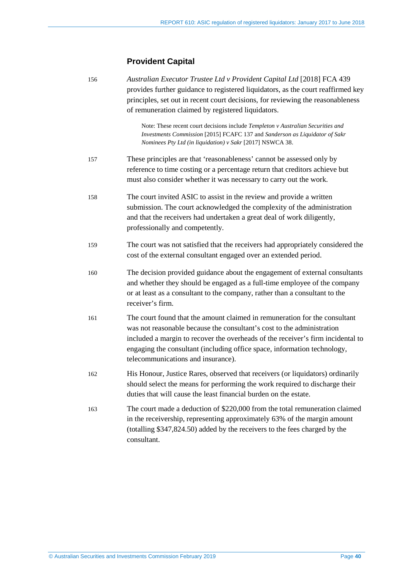# **Provident Capital**

<span id="page-39-0"></span>

| 156 | Australian Executor Trustee Ltd v Provident Capital Ltd [2018] FCA 439<br>provides further guidance to registered liquidators, as the court reaffirmed key<br>principles, set out in recent court decisions, for reviewing the reasonableness<br>of remuneration claimed by registered liquidators.                                                       |
|-----|-----------------------------------------------------------------------------------------------------------------------------------------------------------------------------------------------------------------------------------------------------------------------------------------------------------------------------------------------------------|
|     | Note: These recent court decisions include Templeton v Australian Securities and<br>Investments Commission [2015] FCAFC 137 and Sanderson as Liquidator of Sakr<br>Nominees Pty Ltd (in liquidation) v Sakr [2017] NSWCA 38.                                                                                                                              |
| 157 | These principles are that 'reasonableness' cannot be assessed only by<br>reference to time costing or a percentage return that creditors achieve but<br>must also consider whether it was necessary to carry out the work.                                                                                                                                |
| 158 | The court invited ASIC to assist in the review and provide a written<br>submission. The court acknowledged the complexity of the administration<br>and that the receivers had undertaken a great deal of work diligently,<br>professionally and competently.                                                                                              |
| 159 | The court was not satisfied that the receivers had appropriately considered the<br>cost of the external consultant engaged over an extended period.                                                                                                                                                                                                       |
| 160 | The decision provided guidance about the engagement of external consultants<br>and whether they should be engaged as a full-time employee of the company<br>or at least as a consultant to the company, rather than a consultant to the<br>receiver's firm.                                                                                               |
| 161 | The court found that the amount claimed in remuneration for the consultant<br>was not reasonable because the consultant's cost to the administration<br>included a margin to recover the overheads of the receiver's firm incidental to<br>engaging the consultant (including office space, information technology,<br>telecommunications and insurance). |
| 162 | His Honour, Justice Rares, observed that receivers (or liquidators) ordinarily<br>should select the means for performing the work required to discharge their<br>duties that will cause the least financial burden on the estate.                                                                                                                         |
| 163 | The court made a deduction of \$220,000 from the total remuneration claimed<br>in the receivership, representing approximately 63% of the margin amount<br>(totalling \$347,824.50) added by the receivers to the fees charged by the<br>consultant.                                                                                                      |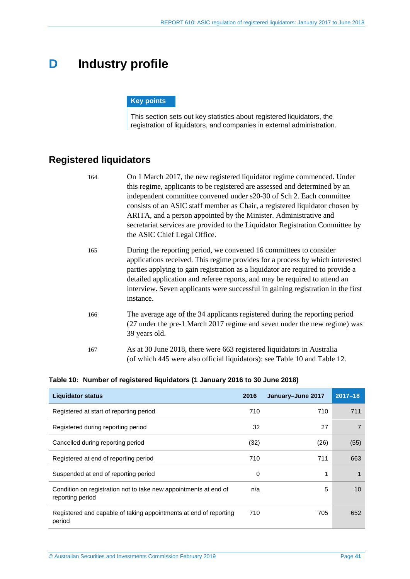# <span id="page-40-0"></span>**D Industry profile**

#### **Key points**

This section sets out key statistics about registered liquidators, the registration of liquidators, and companies in external administration.

# <span id="page-40-1"></span>**Registered liquidators**

| 164 | On 1 March 2017, the new registered liquidator regime commenced. Under<br>this regime, applicants to be registered are assessed and determined by an<br>independent committee convened under s20-30 of Sch 2. Each committee<br>consists of an ASIC staff member as Chair, a registered liquidator chosen by<br>ARITA, and a person appointed by the Minister. Administrative and<br>secretariat services are provided to the Liquidator Registration Committee by<br>the ASIC Chief Legal Office. |
|-----|----------------------------------------------------------------------------------------------------------------------------------------------------------------------------------------------------------------------------------------------------------------------------------------------------------------------------------------------------------------------------------------------------------------------------------------------------------------------------------------------------|
| 165 | During the reporting period, we convened 16 committees to consider<br>applications received. This regime provides for a process by which interested<br>parties applying to gain registration as a liquidator are required to provide a<br>detailed application and referee reports, and may be required to attend an<br>interview. Seven applicants were successful in gaining registration in the first<br>instance.                                                                              |
| 166 | The average age of the 34 applicants registered during the reporting period<br>(27 under the pre-1 March 2017 regime and seven under the new regime) was<br>39 years old.                                                                                                                                                                                                                                                                                                                          |
| 167 | As at 30 June 2018, there were 663 registered liquidators in Australia<br>(of which 445 were also official liquidators): see Table 10 and Table 12.                                                                                                                                                                                                                                                                                                                                                |

#### <span id="page-40-2"></span>**Table 10: Number of registered liquidators (1 January 2016 to 30 June 2018)**

| <b>Liquidator status</b>                                                             | 2016 | January-June 2017 | $2017 - 18$ |
|--------------------------------------------------------------------------------------|------|-------------------|-------------|
| Registered at start of reporting period                                              | 710  | 710               | 711         |
| Registered during reporting period                                                   | 32   | 27                | 7           |
| Cancelled during reporting period                                                    | (32) | (26)              | (55)        |
| Registered at end of reporting period                                                | 710  | 711               | 663         |
| Suspended at end of reporting period                                                 | 0    | 1                 | 1           |
| Condition on registration not to take new appointments at end of<br>reporting period | n/a  | 5                 | 10          |
| Registered and capable of taking appointments at end of reporting<br>period          | 710  | 705               | 652         |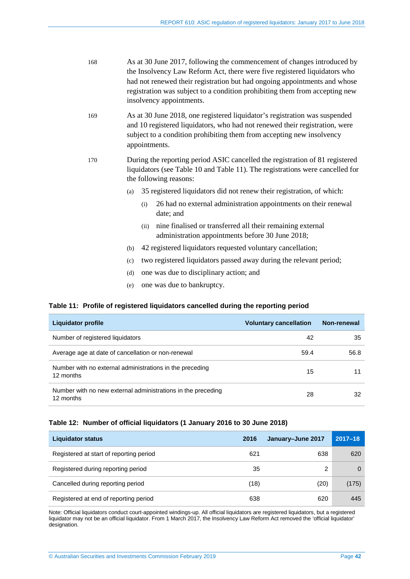| 168 | As at 30 June 2017, following the commencement of changes introduced by     |
|-----|-----------------------------------------------------------------------------|
|     | the Insolvency Law Reform Act, there were five registered liquidators who   |
|     | had not renewed their registration but had ongoing appointments and whose   |
|     | registration was subject to a condition prohibiting them from accepting new |
|     | insolvency appointments.                                                    |

- 169 As at 30 June 2018, one registered liquidator's registration was suspended and 10 registered liquidators, who had not renewed their registration, were subject to a condition prohibiting them from accepting new insolvency appointments.
- 170 During the reporting period ASIC cancelled the registration of 81 registered liquidators (see [Table 10](#page-40-2) an[d Table 11\)](#page-41-1). The registrations were cancelled for the following reasons:
	- (a) 35 registered liquidators did not renew their registration, of which:
		- (i) 26 had no external administration appointments on their renewal date; and
		- (ii) nine finalised or transferred all their remaining external administration appointments before 30 June 2018;
	- (b) 42 registered liquidators requested voluntary cancellation;
	- (c) two registered liquidators passed away during the relevant period;
	- (d) one was due to disciplinary action; and
	- (e) one was due to bankruptcy.

#### <span id="page-41-1"></span>**Table 11: Profile of registered liquidators cancelled during the reporting period**

| Liquidator profile                                                        | <b>Voluntary cancellation</b> | Non-renewal |
|---------------------------------------------------------------------------|-------------------------------|-------------|
| Number of registered liquidators                                          | 42                            | 35          |
| Average age at date of cancellation or non-renewal                        | 59.4                          | 56.8        |
| Number with no external administrations in the preceding<br>12 months     | 15                            |             |
| Number with no new external administrations in the preceding<br>12 months | 28                            | 32          |

#### <span id="page-41-0"></span>**Table 12: Number of official liquidators (1 January 2016 to 30 June 2018)**

| <b>Liquidator status</b>                | 2016 | January-June 2017 | $2017 - 18$ |
|-----------------------------------------|------|-------------------|-------------|
| Registered at start of reporting period | 621  | 638               | 620         |
| Registered during reporting period      | 35   | 2                 | 0           |
| Cancelled during reporting period       | (18) | (20)              | (175)       |
| Registered at end of reporting period   | 638  | 620               | 445         |

Note: Official liquidators conduct court-appointed windings-up. All official liquidators are registered liquidators, but a registered liquidator may not be an official liquidator. From 1 March 2017, the Insolvency Law Reform Act removed the 'official liquidator' designation.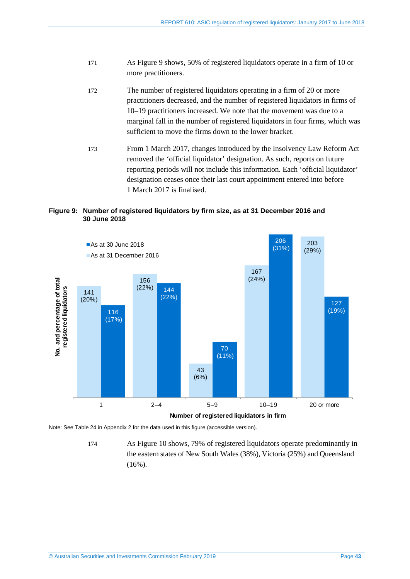- 171 As [Figure 9](#page-42-0) shows, 50% of registered liquidators operate in a firm of 10 or more practitioners.
- 172 The number of registered liquidators operating in a firm of 20 or more practitioners decreased, and the number of registered liquidators in firms of 10–19 practitioners increased. We note that the movement was due to a marginal fall in the number of registered liquidators in four firms, which was sufficient to move the firms down to the lower bracket.
- 173 From 1 March 2017, changes introduced by the Insolvency Law Reform Act removed the 'official liquidator' designation. As such, reports on future reporting periods will not include this information. Each 'official liquidator' designation ceases once their last court appointment entered into before 1 March 2017 is finalised.

#### <span id="page-42-0"></span>**Figure 9: Number of registered liquidators by firm size, as at 31 December 2016 and 30 June 2018**



Note: Se[e Table](#page-52-3) 24 in Appendix 2 for the data used in this figure (accessible version).

<sup>174</sup> As [Figure 10](#page-43-0) shows, 79% of registered liquidators operate predominantly in the eastern states of New South Wales (38%), Victoria (25%) and Queensland  $(16\%)$ .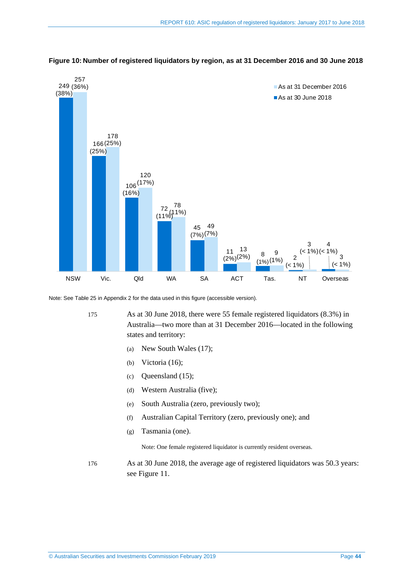

<span id="page-43-0"></span>**Figure 10: Number of registered liquidators by region, as at 31 December 2016 and 30 June 2018** 

Note: Se[e Table](#page-53-0) 25 in Appendix 2 for the data used in this figure (accessible version).

175 As at 30 June 2018, there were 55 female registered liquidators (8.3%) in Australia—two more than at 31 December 2016—located in the following states and territory:

- (a) New South Wales (17);
- (b) Victoria (16);
- (c) Queensland (15);
- (d) Western Australia (five);
- (e) South Australia (zero, previously two);
- (f) Australian Capital Territory (zero, previously one); and
- (g) Tasmania (one).

Note: One female registered liquidator is currently resident overseas.

176 As at 30 June 2018, the average age of registered liquidators was 50.3 years: see [Figure 11.](#page-44-0)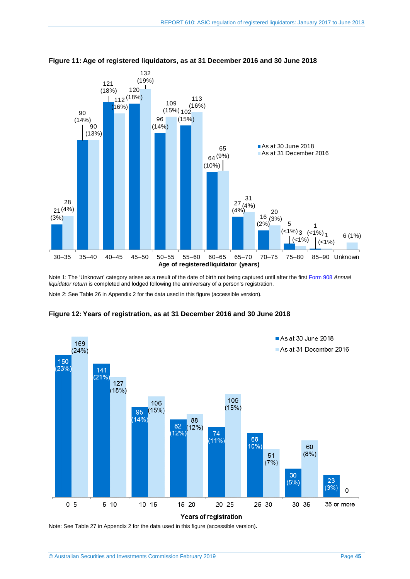

<span id="page-44-0"></span>**Figure 11: Age of registered liquidators, as at 31 December 2016 and 30 June 2018** 

Note 1: The 'Unknown' category arises as a result of the date of birth not being captured until after the first [Form 908](https://asic.gov.au/regulatory-resources/forms/forms-folder/908-annual-liquidator-return/) Annual *l iquidator return* is completed and lodged following the anniversary of a person's registration. Note 2: Se[e Table](#page-53-1) 26 in Appendix 2 for the data used in this figure (accessible version).



<span id="page-44-1"></span>**Figure 12: Years of registration, as at 31 December 2016 and 30 June 2018** 

Note: Se[e Table](#page-54-0) 27 in Appendix 2 for the data used in this figure (accessible version)**.**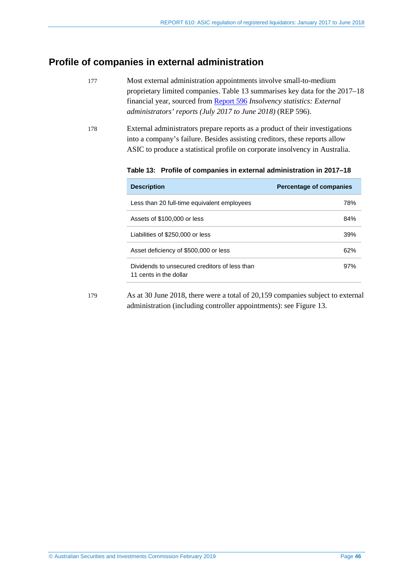# <span id="page-45-0"></span>**Profile of companies in external administration**

- 177 Most external administration appointments involve small-to-medium proprietary limited companies. [Table 13](#page-45-1) summarises key data for the 2017–18 financial year, sourced from [Report 596](https://asic.gov.au/regulatory-resources/find-a-document/reports/rep-596-insolvency-statistics-external-administrators-reports-july-2017-to-june-2018/) *Insolvency statistics: External administrators' reports (July 2017 to June 2018)* (REP 596).
- <span id="page-45-1"></span>178 External administrators prepare reports as a product of their investigations into a company's failure. Besides assisting creditors, these reports allow ASIC to produce a statistical profile on corporate insolvency in Australia.

**Table 13: Profile of companies in external administration in 2017–18** 

| <b>Description</b>                                                      | <b>Percentage of companies</b> |
|-------------------------------------------------------------------------|--------------------------------|
| Less than 20 full-time equivalent employees                             | 78%                            |
| Assets of \$100,000 or less                                             | 84%                            |
| Liabilities of \$250,000 or less                                        | 39%                            |
| Asset deficiency of \$500,000 or less                                   | 62%                            |
| Dividends to unsecured creditors of less than<br>11 cents in the dollar | 97%                            |

179 As at 30 June 2018, there were a total of 20,159 companies subject to external administration (including controller appointments): see [Figure 13.](#page-46-0)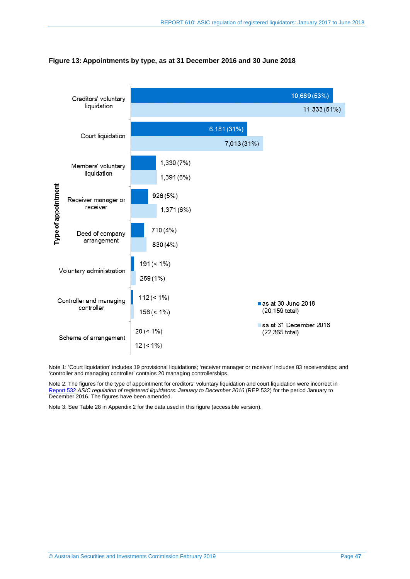

#### <span id="page-46-0"></span>**Figure 13: Appointments by type, as at 31 December 2016 and 30 June 2018**

Note 1: 'Court liquidation' includes 19 provisional liquidations; 'receiver manager or receiver' includes 83 receiverships; and 'controller and managing controller' contains 20 managing controllerships.

Note 2: The figures for the type of appointment for creditors' voluntary liquidation and court liquidation were incorrect in [Report](https://asic.gov.au/regulatory-resources/find-a-document/reports/rep-532-asic-regulation-of-registered-liquidators-january-to-december-2016/) 532 *ASIC regulation of registered liquidators: January to December 2016* (REP 532) for the period January to December 2016. The figures have been amended.

Note 3: Se[e Table](#page-54-1) 28 in Appendix 2 for the data used in this figure (accessible version).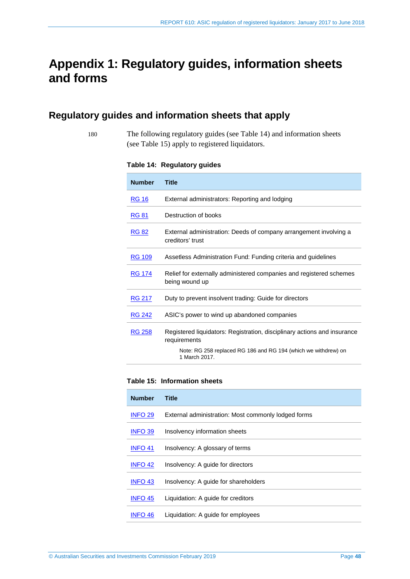# <span id="page-47-0"></span>**Appendix 1: Regulatory guides, information sheets and forms**

# <span id="page-47-2"></span><span id="page-47-1"></span>**Regulatory guides and information sheets that apply**

- 
- 180 The following regulatory guides (see [Table 14\)](#page-47-2) and information sheets (see [Table 15\)](#page-47-3) apply to registered liquidators.

**Table 14: Regulatory guides**

| <b>Number</b> | <b>Title</b>                                                                             |
|---------------|------------------------------------------------------------------------------------------|
| <b>RG 16</b>  | External administrators: Reporting and lodging                                           |
| <b>RG 81</b>  | Destruction of books                                                                     |
| <b>RG 82</b>  | External administration: Deeds of company arrangement involving a<br>creditors' trust    |
| <b>RG 109</b> | Assetless Administration Fund: Funding criteria and guidelines                           |
| <b>RG 174</b> | Relief for externally administered companies and registered schemes<br>being wound up    |
| <b>RG 217</b> | Duty to prevent insolvent trading: Guide for directors                                   |
| <b>RG 242</b> | ASIC's power to wind up abandoned companies                                              |
| <b>RG 258</b> | Registered liquidators: Registration, disciplinary actions and insurance<br>requirements |
|               | Note: RG 258 replaced RG 186 and RG 194 (which we withdrew) on<br>1 March 2017.          |

## <span id="page-47-3"></span>**Table 15: Information sheets**

| <b>Number</b>  | Title                                               |
|----------------|-----------------------------------------------------|
| <b>INFO 29</b> | External administration: Most commonly lodged forms |
| <b>INFO 39</b> | Insolvency information sheets                       |
| <b>INFO 41</b> | Insolvency: A glossary of terms                     |
| <b>INFO 42</b> | Insolvency: A guide for directors                   |
| <b>INFO 43</b> | Insolvency: A guide for shareholders                |
| <b>INFO 45</b> | Liquidation: A quide for creditors                  |
| INFO 46        | Liquidation: A guide for employees                  |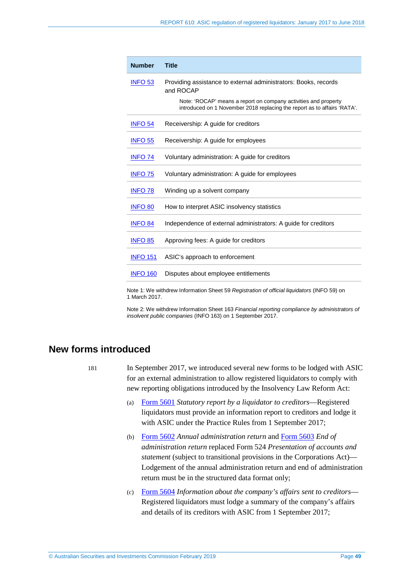| <b>Number</b>   | <b>Title</b>                                                                                                                                |
|-----------------|---------------------------------------------------------------------------------------------------------------------------------------------|
| <b>INFO 53</b>  | Providing assistance to external administrators: Books, records<br>and ROCAP                                                                |
|                 | Note: 'ROCAP' means a report on company activities and property<br>introduced on 1 November 2018 replacing the report as to affairs 'RATA'. |
| <b>INFO 54</b>  | Receivership: A guide for creditors                                                                                                         |
| <b>INFO 55</b>  | Receivership: A guide for employees                                                                                                         |
| <b>INFO 74</b>  | Voluntary administration: A guide for creditors                                                                                             |
| <b>INFO 75</b>  | Voluntary administration: A guide for employees                                                                                             |
| <b>INFO 78</b>  | Winding up a solvent company                                                                                                                |
| <b>INFO 80</b>  | How to interpret ASIC insolvency statistics                                                                                                 |
| <b>INFO 84</b>  | Independence of external administrators: A quide for creditors                                                                              |
| <b>INFO 85</b>  | Approving fees: A guide for creditors                                                                                                       |
| <b>INFO 151</b> | ASIC's approach to enforcement                                                                                                              |
| <b>INFO 160</b> | Disputes about employee entitlements                                                                                                        |
|                 |                                                                                                                                             |

Note 1: We withdrew Information Sheet 59 *Registration of official liquidators* (INFO 59) on 1 March 2017.

Note 2: We withdrew Information Sheet 163 *Financial reporting compliance by administrators of insolvent public companies* (INFO 163) on 1 September 2017.

# <span id="page-48-0"></span>**New forms introduced**

181 In September 2017, we introduced several new forms to be lodged with ASIC for an external administration to allow registered liquidators to comply with new reporting obligations introduced by the Insolvency Law Reform Act:

- (a) [Form 5601](https://asic.gov.au/regulatory-resources/forms/forms-folder/5601-statutory-report-by-a-liquidator-to-creditors/) *Statutory report by a liquidator to creditors*—Registered liquidators must provide an information report to creditors and lodge it with ASIC under the Practice Rules from 1 September 2017;
- (b) [Form 5602](https://asic.gov.au/regulatory-resources/forms/forms-folder/5602-annual-administration-return/) *Annual administration return* and [Form 5603](https://asic.gov.au/regulatory-resources/forms/forms-folder/5603-end-of-administration-return/) *End of administration return* replaced Form 524 *Presentation of accounts and statement* (subject to transitional provisions in the Corporations Act)— Lodgement of the annual administration return and end of administration return must be in the structured data format only;
- (c) [Form 5604](https://asic.gov.au/regulatory-resources/forms/forms-folder/5604-information-about-the-companys-affairs-sent-to-creditors/) *Information about the company's affairs sent to creditors* Registered liquidators must lodge a summary of the company's affairs and details of its creditors with ASIC from 1 September 2017;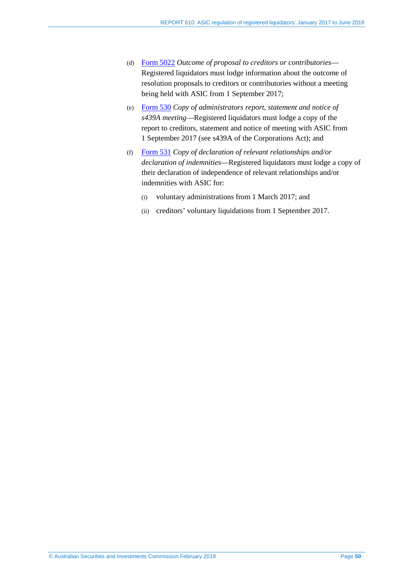- (d) [Form 5022](https://asic.gov.au/regulatory-resources/forms/forms-folder/5022-outcome-of-proposal-to-creditors-or-contributories/) *Outcome of proposal to creditors or contributories* Registered liquidators must lodge information about the outcome of resolution proposals to creditors or contributories without a meeting being held with ASIC from 1 September 2017;
- (e) [Form 530](https://asic.gov.au/regulatory-resources/forms/forms-folder/530-copy-of-administrators-report-statement-and-notice-of-s439a-meeting/) *Copy of administrators report, statement and notice of s439A meeting*—Registered liquidators must lodge a copy of the report to creditors, statement and notice of meeting with ASIC from 1 September 2017 (see s439A of the Corporations Act); and
- (f) [Form 531](https://asic.gov.au/regulatory-resources/forms/forms-folder/531-copy-of-declaration-of-relevant-relationships-andor-declaration-of-indemnities/) *Copy of declaration of relevant relationships and/or declaration of indemnities*—Registered liquidators must lodge a copy of their declaration of independence of relevant relationships and/or indemnities with ASIC for:
	- (i) voluntary administrations from 1 March 2017; and
	- (ii) creditors' voluntary liquidations from 1 September 2017.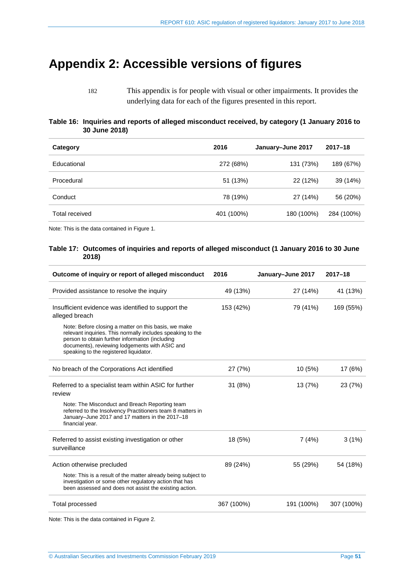# <span id="page-50-0"></span>**Appendix 2: Accessible versions of figures**

182 This appendix is for people with visual or other impairments. It provides the underlying data for each of the figures presented in this report.

#### <span id="page-50-1"></span>**Table 16: Inquiries and reports of alleged misconduct received, by category (1 January 2016 to 30 June 2018)**

| Category       | 2016       | January-June 2017 | $2017 - 18$ |
|----------------|------------|-------------------|-------------|
| Educational    | 272 (68%)  | 131 (73%)         | 189 (67%)   |
| Procedural     | 51 (13%)   | 22 (12%)          | 39 (14%)    |
| Conduct        | 78 (19%)   | 27 (14%)          | 56 (20%)    |
| Total received | 401 (100%) | 180 (100%)        | 284 (100%)  |

<span id="page-50-2"></span>Note: This is the data contained i[n Figure 1.](#page-18-0) 

#### **Table 17: Outcomes of inquiries and reports of alleged misconduct (1 January 2016 to 30 June 2018)**

| Outcome of inquiry or report of alleged misconduct                                                                                                                                                                                                                | 2016       | January-June 2017 | $2017 - 18$ |
|-------------------------------------------------------------------------------------------------------------------------------------------------------------------------------------------------------------------------------------------------------------------|------------|-------------------|-------------|
| Provided assistance to resolve the inquiry                                                                                                                                                                                                                        | 49 (13%)   | 27 (14%)          | 41 (13%)    |
| Insufficient evidence was identified to support the<br>alleged breach                                                                                                                                                                                             | 153 (42%)  | 79 (41%)          | 169 (55%)   |
| Note: Before closing a matter on this basis, we make<br>relevant inquiries. This normally includes speaking to the<br>person to obtain further information (including<br>documents), reviewing lodgements with ASIC and<br>speaking to the registered liquidator. |            |                   |             |
| No breach of the Corporations Act identified                                                                                                                                                                                                                      | 27 (7%)    | 10(5%)            | 17 (6%)     |
| Referred to a specialist team within ASIC for further<br>review                                                                                                                                                                                                   | 31 (8%)    | 13 (7%)           | 23 (7%)     |
| Note: The Misconduct and Breach Reporting team<br>referred to the Insolvency Practitioners team 8 matters in<br>January-June 2017 and 17 matters in the 2017-18<br>financial year.                                                                                |            |                   |             |
| Referred to assist existing investigation or other<br>surveillance                                                                                                                                                                                                | 18 (5%)    | 7(4%)             | 3(1%)       |
| Action otherwise precluded                                                                                                                                                                                                                                        | 89 (24%)   | 55 (29%)          | 54 (18%)    |
| Note: This is a result of the matter already being subject to<br>investigation or some other regulatory action that has<br>been assessed and does not assist the existing action.                                                                                 |            |                   |             |
| <b>Total processed</b>                                                                                                                                                                                                                                            | 367 (100%) | 191 (100%)        | 307 (100%)  |

Note: This is the data contained i[n Figure 2.](#page-20-2)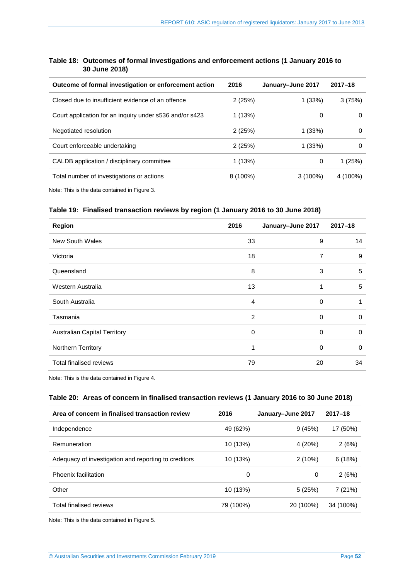#### <span id="page-51-0"></span>**Table 18: Outcomes of formal investigations and enforcement actions (1 January 2016 to 30 June 2018)**

| 2016       | January-June 2017 | $2017 - 18$ |
|------------|-------------------|-------------|
| 2(25%)     | 1(33%)            | 3(75%)      |
| 1(13%)     | 0                 | 0           |
| 2(25%)     | 1(33%)            | 0           |
| 2(25%)     | 1(33%)            | 0           |
| 1(13%)     | 0                 | 1(25%)      |
| $8(100\%)$ | $3(100\%)$        | 4 (100%)    |
|            |                   |             |

<span id="page-51-1"></span>Note: This is the data contained i[n Figure 3.](#page-21-1) 

#### **Table 19: Finalised transaction reviews by region (1 January 2016 to 30 June 2018)**

| <b>Region</b>                       | 2016 | January-June 2017 | $2017 - 18$ |
|-------------------------------------|------|-------------------|-------------|
| <b>New South Wales</b>              | 33   | 9                 | 14          |
| Victoria                            | 18   | 7                 | 9           |
| Queensland                          | 8    | 3                 | 5           |
| Western Australia                   | 13   |                   | 5           |
| South Australia                     | 4    | 0                 |             |
| Tasmania                            | 2    | 0                 | 0           |
| <b>Australian Capital Territory</b> | 0    | 0                 | 0           |
| Northern Territory                  | 1    | 0                 | 0           |
| Total finalised reviews             | 79   | 20                | 34          |

<span id="page-51-2"></span>Note: This is the data contained i[n Figure 4.](#page-27-0) 

#### **Table 20: Areas of concern in finalised transaction reviews (1 January 2016 to 30 June 2018)**

| Area of concern in finalised transaction review      | 2016      | January-June 2017 | $2017 - 18$ |
|------------------------------------------------------|-----------|-------------------|-------------|
| Independence                                         | 49 (62%)  | 9(45%)            | 17 (50%)    |
| Remuneration                                         | 10 (13%)  | 4 (20%)           | 2(6%)       |
| Adequacy of investigation and reporting to creditors | 10 (13%)  | 2(10%)            | 6(18%)      |
| Phoenix facilitation                                 | 0         | 0                 | 2(6%)       |
| Other                                                | 10 (13%)  | 5(25%)            | 7(21%)      |
| Total finalised reviews                              | 79 (100%) | 20 (100%)         | 34 (100%)   |

Note: This is the data contained i[n Figure 5.](#page-27-1)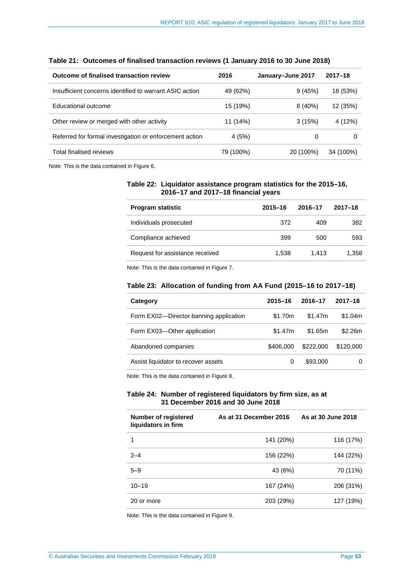| Outcome of finalised transaction review                 | 2016      | January-June 2017 | $2017 - 18$ |
|---------------------------------------------------------|-----------|-------------------|-------------|
| Insufficient concerns identified to warrant ASIC action | 49 (62%)  | 9(45%)            | 18 (53%)    |
| Educational outcome                                     | 15 (19%)  | 8(40%)            | 12 (35%)    |
| Other review or merged with other activity              | 11 (14%)  | 3(15%)            | 4 (12%)     |
| Referred for formal investigation or enforcement action | 4(5%)     | 0                 | $\Omega$    |
| Total finalised reviews                                 | 79 (100%) | 20 (100%)         | 34 (100%)   |

#### <span id="page-52-0"></span>**Table 21: Outcomes of finalised transaction reviews (1 January 2016 to 30 June 2018)**

<span id="page-52-1"></span>Note: This is the data contained i[n Figure 6.](#page-28-0)

#### **Table 22: Liquidator assistance program statistics for the 2015–16, 2016–17 and 2017–18 financial years**

| <b>Program statistic</b>        | $2015 - 16$ | 2016-17 | $2017 - 18$ |
|---------------------------------|-------------|---------|-------------|
| Individuals prosecuted          | 372         | 409     | 382         |
| Compliance achieved             | 399         | 500     | 593         |
| Request for assistance received | 1.538       | 1.413   | 1,358       |

<span id="page-52-2"></span>Note: This is the data contained i[n Figure 7.](#page-34-2)

#### **Table 23: Allocation of funding from AA Fund (2015–16 to 2017–18)**

| Category                               | $2015 - 16$ | 2016–17   | $2017 - 18$ |
|----------------------------------------|-------------|-----------|-------------|
| Form EX02-Director banning application | \$1.70m     | \$1.47m   | \$1.04m     |
| Form EX03-Other application            | \$1.47m     | \$1.65m   | \$2.26m     |
| Abandoned companies                    | \$406,000   | \$222,000 | \$120,000   |
| Assist liquidator to recover assets    | 0           | \$93,000  |             |
|                                        |             |           |             |

Note: This is the data contained i[n Figure 8.](#page-36-3)

#### <span id="page-52-3"></span>**Table 24: Number of registered liquidators by firm size, as at 31 December 2016 and 30 June 2018**

| Number of registered<br>liquidators in firm | As at 31 December 2016 | As at 30 June 2018 |
|---------------------------------------------|------------------------|--------------------|
|                                             | 141 (20%)              | 116 (17%)          |
| $2 - 4$                                     | 156 (22%)              | 144 (22%)          |
| $5 - 9$                                     | 43 (6%)                | 70 (11%)           |
| $10 - 19$                                   | 167 (24%)              | 206 (31%)          |
| 20 or more                                  | 203 (29%)              | 127 (19%)          |

Note: This is the data contained i[n Figure 9.](#page-42-0)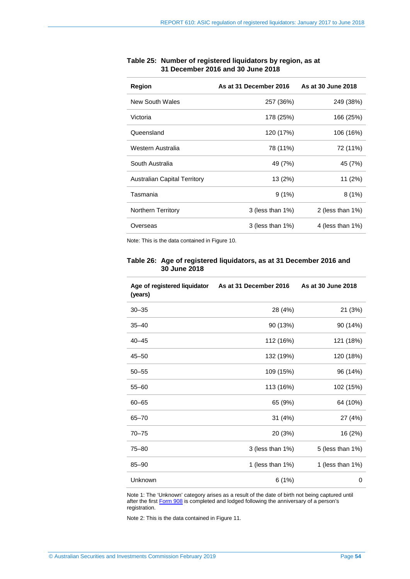| Region                              | As at 31 December 2016 | As at 30 June 2018   |
|-------------------------------------|------------------------|----------------------|
| New South Wales                     | 257 (36%)              | 249 (38%)            |
| Victoria                            | 178 (25%)              | 166 (25%)            |
| Queensland                          | 120 (17%)              | 106 (16%)            |
| Western Australia                   | 78 (11%)               | 72 (11%)             |
| South Australia                     | 49 (7%)                | 45 (7%)              |
| <b>Australian Capital Territory</b> | 13 (2%)                | 11 (2%)              |
| Tasmania                            | 9(1%)                  | 8(1%)                |
| <b>Northern Territory</b>           | $3$ (less than $1\%$ ) | 2 (less than $1\%$ ) |
| Overseas                            | $3$ (less than $1\%$ ) | 4 (less than $1\%$ ) |

### <span id="page-53-0"></span>**Table 25: Number of registered liquidators by region, as at 31 December 2016 and 30 June 2018**

<span id="page-53-1"></span>Note: This is the data contained i[n Figure 10.](#page-43-0) 

#### **Table 26: Age of registered liquidators, as at 31 December 2016 and 30 June 2018**

| Age of registered liquidator<br>(years) | As at 31 December 2016 | As at 30 June 2018 |
|-----------------------------------------|------------------------|--------------------|
| $30 - 35$                               | 28 (4%)                | 21 (3%)            |
| $35 - 40$                               | 90 (13%)               | 90 (14%)           |
| $40 - 45$                               | 112 (16%)              | 121 (18%)          |
| $45 - 50$                               | 132 (19%)              | 120 (18%)          |
| $50 - 55$                               | 109 (15%)              | 96 (14%)           |
| $55 - 60$                               | 113 (16%)              | 102 (15%)          |
| $60 - 65$                               | 65 (9%)                | 64 (10%)           |
| $65 - 70$                               | 31 (4%)                | 27 (4%)            |
| $70 - 75$                               | 20 (3%)                | 16 (2%)            |
| $75 - 80$                               | 3 (less than 1%)       | 5 (less than 1%)   |
| $85 - 90$                               | 1 (less than 1%)       | 1 (less than 1%)   |
| Unknown                                 | 6(1%)                  | 0                  |

Note 1: The 'Unknown' category arises as a result of the date of birth not being captured until after the first [Form 908](https://asic.gov.au/regulatory-resources/forms/forms-folder/908-annual-liquidator-return/) is completed and lodged following the anniversary of a person's registration.

Note 2: This is the data contained i[n Figure 11.](#page-44-0)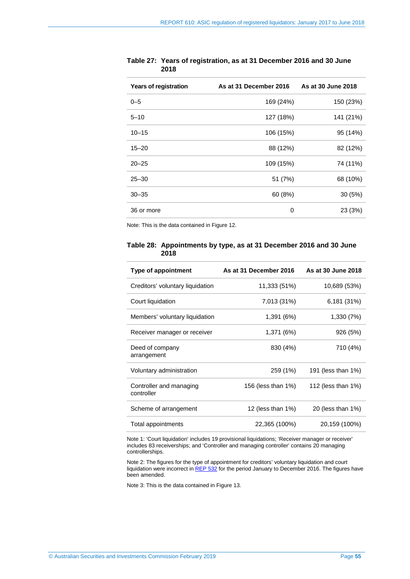| <b>Years of registration</b> | As at 31 December 2016 | As at 30 June 2018 |
|------------------------------|------------------------|--------------------|
| $0 - 5$                      | 169 (24%)              | 150 (23%)          |
| $5 - 10$                     | 127 (18%)              | 141 (21%)          |
| $10 - 15$                    | 106 (15%)              | 95 (14%)           |
| $15 - 20$                    | 88 (12%)               | 82 (12%)           |
| $20 - 25$                    | 109 (15%)              | 74 (11%)           |
| $25 - 30$                    | 51 (7%)                | 68 (10%)           |
| $30 - 35$                    | 60 (8%)                | 30 (5%)            |
| 36 or more                   | 0                      | 23 (3%)            |

<span id="page-54-0"></span>**Table 27: Years of registration, as at 31 December 2016 and 30 June 2018** 

<span id="page-54-1"></span>Note: This is the data contained i[n Figure 12.](#page-44-1) 

#### **Table 28: Appointments by type, as at 31 December 2016 and 30 June 2018**

| Type of appointment                   | As at 31 December 2016 | As at 30 June 2018 |
|---------------------------------------|------------------------|--------------------|
| Creditors' voluntary liquidation      | 11,333 (51%)           | 10,689 (53%)       |
| Court liquidation                     | 7,013 (31%)            | 6,181 (31%)        |
| Members' voluntary liquidation        | 1,391 (6%)             | 1,330 (7%)         |
| Receiver manager or receiver          | 1,371 (6%)             | 926 (5%)           |
| Deed of company<br>arrangement        | 830 (4%)               | 710 (4%)           |
| Voluntary administration              | 259 (1%)               | 191 (less than 1%) |
| Controller and managing<br>controller | 156 (less than 1%)     | 112 (less than 1%) |
| Scheme of arrangement                 | 12 (less than $1\%$ )  | 20 (less than 1%)  |
| Total appointments                    | 22,365 (100%)          | 20,159 (100%)      |

Note 1: 'Court liquidation' includes 19 provisional liquidations; 'Receiver manager or receiver' includes 83 receiverships; and 'Controller and managing controller' contains 20 managing controllerships.

Note 2: The figures for the type of appointment for creditors' voluntary liquidation and court liquidation were incorrect i[n REP 532](https://asic.gov.au/regulatory-resources/find-a-document/reports/rep-532-asic-regulation-of-registered-liquidators-january-to-december-2016/) for the period January to December 2016. The figures have been amended.

Note 3: This is the data contained i[n Figure 13.](#page-46-0)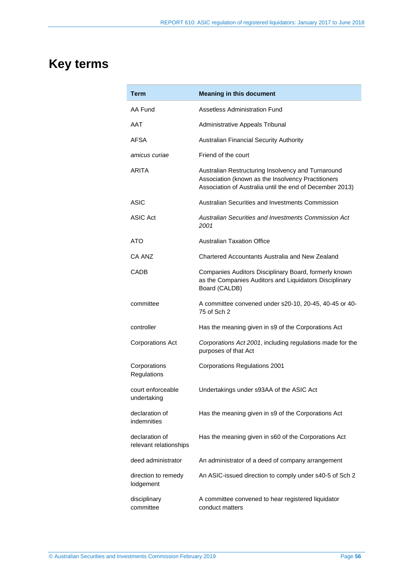# <span id="page-55-0"></span>**Key terms**

| Term                                     | <b>Meaning in this document</b>                                                                                                                                      |
|------------------------------------------|----------------------------------------------------------------------------------------------------------------------------------------------------------------------|
| AA Fund                                  | <b>Assetless Administration Fund</b>                                                                                                                                 |
| AAT                                      | Administrative Appeals Tribunal                                                                                                                                      |
| AFSA                                     | Australian Financial Security Authority                                                                                                                              |
| amicus curiae                            | Friend of the court                                                                                                                                                  |
| ARITA                                    | Australian Restructuring Insolvency and Turnaround<br>Association (known as the Insolvency Practitioners<br>Association of Australia until the end of December 2013) |
| ASIC                                     | Australian Securities and Investments Commission                                                                                                                     |
| <b>ASIC Act</b>                          | Australian Securities and Investments Commission Act<br>2001                                                                                                         |
| ATO                                      | <b>Australian Taxation Office</b>                                                                                                                                    |
| CA ANZ                                   | Chartered Accountants Australia and New Zealand                                                                                                                      |
| CADB                                     | Companies Auditors Disciplinary Board, formerly known<br>as the Companies Auditors and Liquidators Disciplinary<br>Board (CALDB)                                     |
| committee                                | A committee convened under s20-10, 20-45, 40-45 or 40-<br>75 of Sch 2                                                                                                |
| controller                               | Has the meaning given in s9 of the Corporations Act                                                                                                                  |
| <b>Corporations Act</b>                  | Corporations Act 2001, including regulations made for the<br>purposes of that Act                                                                                    |
| Corporations<br>Regulations              | <b>Corporations Regulations 2001</b>                                                                                                                                 |
| court enforceable<br>undertaking         | Undertakings under s93AA of the ASIC Act                                                                                                                             |
| declaration of<br>indemnities            | Has the meaning given in s9 of the Corporations Act                                                                                                                  |
| declaration of<br>relevant relationships | Has the meaning given in s60 of the Corporations Act                                                                                                                 |
| deed administrator                       | An administrator of a deed of company arrangement                                                                                                                    |
| direction to remedy<br>lodgement         | An ASIC-issued direction to comply under s40-5 of Sch 2                                                                                                              |
| disciplinary<br>committee                | A committee convened to hear registered liquidator<br>conduct matters                                                                                                |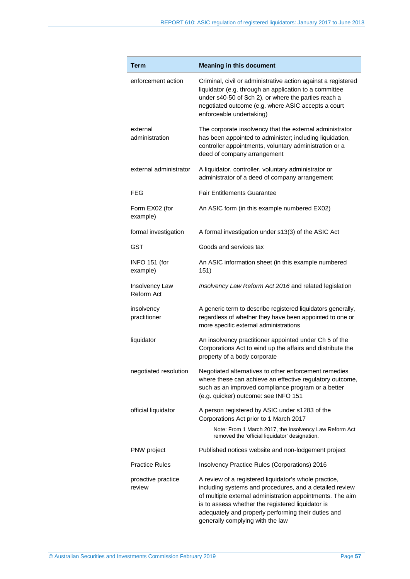| Term                         | <b>Meaning in this document</b>                                                                                                                                                                                                                                                                                               |
|------------------------------|-------------------------------------------------------------------------------------------------------------------------------------------------------------------------------------------------------------------------------------------------------------------------------------------------------------------------------|
| enforcement action           | Criminal, civil or administrative action against a registered<br>liquidator (e.g. through an application to a committee<br>under s40-50 of Sch 2), or where the parties reach a<br>negotiated outcome (e.g. where ASIC accepts a court<br>enforceable undertaking)                                                            |
| external<br>administration   | The corporate insolvency that the external administrator<br>has been appointed to administer; including liquidation,<br>controller appointments, voluntary administration or a<br>deed of company arrangement                                                                                                                 |
| external administrator       | A liquidator, controller, voluntary administrator or<br>administrator of a deed of company arrangement                                                                                                                                                                                                                        |
| <b>FEG</b>                   | <b>Fair Entitlements Guarantee</b>                                                                                                                                                                                                                                                                                            |
| Form EX02 (for<br>example)   | An ASIC form (in this example numbered EX02)                                                                                                                                                                                                                                                                                  |
| formal investigation         | A formal investigation under s13(3) of the ASIC Act                                                                                                                                                                                                                                                                           |
| GST                          | Goods and services tax                                                                                                                                                                                                                                                                                                        |
| INFO 151 (for<br>example)    | An ASIC information sheet (in this example numbered<br>151)                                                                                                                                                                                                                                                                   |
| Insolvency Law<br>Reform Act | Insolvency Law Reform Act 2016 and related legislation                                                                                                                                                                                                                                                                        |
| insolvency<br>practitioner   | A generic term to describe registered liquidators generally,<br>regardless of whether they have been appointed to one or<br>more specific external administrations                                                                                                                                                            |
| liquidator                   | An insolvency practitioner appointed under Ch 5 of the<br>Corporations Act to wind up the affairs and distribute the<br>property of a body corporate                                                                                                                                                                          |
| negotiated resolution        | Negotiated alternatives to other enforcement remedies<br>where these can achieve an effective regulatory outcome,<br>such as an improved compliance program or a better<br>(e.g. quicker) outcome: see INFO 151                                                                                                               |
| official liquidator          | A person registered by ASIC under s1283 of the<br>Corporations Act prior to 1 March 2017                                                                                                                                                                                                                                      |
|                              | Note: From 1 March 2017, the Insolvency Law Reform Act<br>removed the 'official liquidator' designation.                                                                                                                                                                                                                      |
| PNW project                  | Published notices website and non-lodgement project                                                                                                                                                                                                                                                                           |
| <b>Practice Rules</b>        | Insolvency Practice Rules (Corporations) 2016                                                                                                                                                                                                                                                                                 |
| proactive practice<br>review | A review of a registered liquidator's whole practice,<br>including systems and procedures, and a detailed review<br>of multiple external administration appointments. The aim<br>is to assess whether the registered liquidator is<br>adequately and properly performing their duties and<br>generally complying with the law |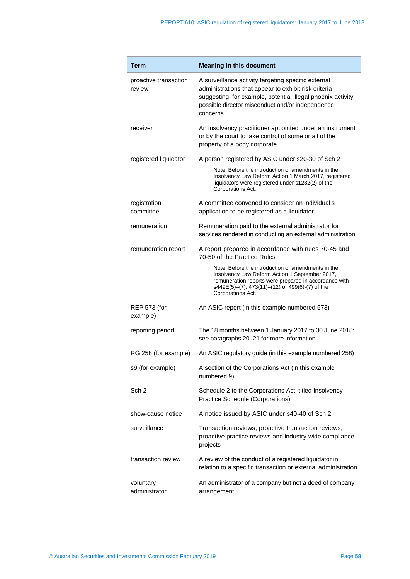| Term                            | <b>Meaning in this document</b>                                                                                                                                                                                                             |
|---------------------------------|---------------------------------------------------------------------------------------------------------------------------------------------------------------------------------------------------------------------------------------------|
| proactive transaction<br>review | A surveillance activity targeting specific external<br>administrations that appear to exhibit risk criteria<br>suggesting, for example, potential illegal phoenix activity,<br>possible director misconduct and/or independence<br>concerns |
| receiver                        | An insolvency practitioner appointed under an instrument<br>or by the court to take control of some or all of the<br>property of a body corporate                                                                                           |
| registered liquidator           | A person registered by ASIC under s20-30 of Sch 2                                                                                                                                                                                           |
|                                 | Note: Before the introduction of amendments in the<br>Insolvency Law Reform Act on 1 March 2017, registered<br>liquidators were registered under s1282(2) of the<br>Corporations Act.                                                       |
| registration<br>committee       | A committee convened to consider an individual's<br>application to be registered as a liquidator                                                                                                                                            |
| remuneration                    | Remuneration paid to the external administrator for<br>services rendered in conducting an external administration                                                                                                                           |
| remuneration report             | A report prepared in accordance with rules 70-45 and<br>70-50 of the Practice Rules                                                                                                                                                         |
|                                 | Note: Before the introduction of amendments in the<br>Insolvency Law Reform Act on 1 September 2017,<br>remuneration reports were prepared in accordance with<br>s449E(5)-(7), 473(11)-(12) or 499(6)-(7) of the<br>Corporations Act.       |
| <b>REP 573 (for</b><br>example) | An ASIC report (in this example numbered 573)                                                                                                                                                                                               |
| reporting period                | The 18 months between 1 January 2017 to 30 June 2018:<br>see paragraphs 20-21 for more information                                                                                                                                          |
| RG 258 (for example)            | An ASIC regulatory guide (in this example numbered 258)                                                                                                                                                                                     |
| s9 (for example)                | A section of the Corporations Act (in this example<br>numbered 9)                                                                                                                                                                           |
| Sch <sub>2</sub>                | Schedule 2 to the Corporations Act, titled Insolvency<br>Practice Schedule (Corporations)                                                                                                                                                   |
| show-cause notice               | A notice issued by ASIC under s40-40 of Sch 2                                                                                                                                                                                               |
| surveillance                    | Transaction reviews, proactive transaction reviews,<br>proactive practice reviews and industry-wide compliance<br>projects                                                                                                                  |
| transaction review              | A review of the conduct of a registered liquidator in<br>relation to a specific transaction or external administration                                                                                                                      |
| voluntary<br>administrator      | An administrator of a company but not a deed of company<br>arrangement                                                                                                                                                                      |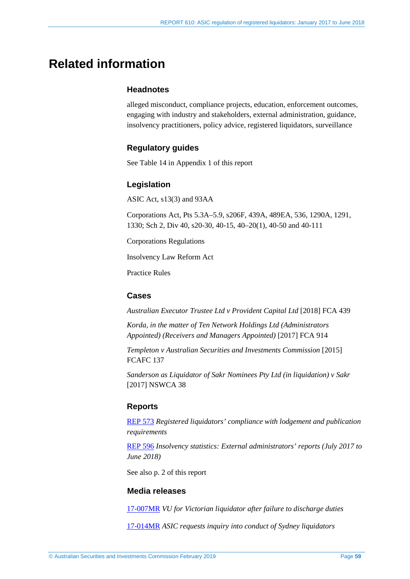# <span id="page-58-0"></span>**Related information**

## **Headnotes**

alleged misconduct, compliance projects, education, enforcement outcomes, engaging with industry and stakeholders, external administration, guidance, insolvency practitioners, policy advice, registered liquidators, surveillance

## **Regulatory guides**

See [Table 14](#page-47-2) in Appendix 1 of this report

## **Legislation**

ASIC Act, s13(3) and 93AA

Corporations Act, Pts 5.3A–5.9, s206F, 439A, 489EA, 536, 1290A, 1291, 1330; Sch 2, Div 40, s20-30, 40-15, 40–20(1), 40-50 and 40-111

Corporations Regulations

Insolvency Law Reform Act

Practice Rules

## **Cases**

*Australian Executor Trustee Ltd v Provident Capital Ltd* [2018] FCA 439

*Korda, in the matter of Ten Network Holdings Ltd (Administrators Appointed) (Receivers and Managers Appointed)* [2017] FCA 914

*Templeton v Australian Securities and Investments Commission* [2015] FCAFC 137

*Sanderson as Liquidator of Sakr Nominees Pty Ltd (in liquidation) v Sakr* [2017] NSWCA 38

#### **Reports**

[REP 573](https://asic.gov.au/regulatory-resources/find-a-document/reports/rep-573-registered-liquidators-compliance-with-lodgement-and-publication-requirements/) *Registered liquidators' compliance with lodgement and publication requirements*

[REP 596](https://asic.gov.au/regulatory-resources/find-a-document/reports/rep-596-insolvency-statistics-external-administrators-reports-july-2017-to-june-2018/) *Insolvency statistics: External administrators' reports (July 2017 to June 2018)* 

See also p. 2 of this report

### **Media releases**

[17-007MR](https://asic.gov.au/about-asic/news-centre/find-a-media-release/2017-releases/17-007mr-vu-for-victorian-liquidator-after-failure-to-discharge-duties/) *VU for Victorian liquidator after failure to discharge duties*

[17-014MR](https://asic.gov.au/about-asic/news-centre/find-a-media-release/2017-releases/17-014mr-asic-requests-inquiry-into-conduct-of-sydney-liquidators/) *ASIC requests inquiry into conduct of Sydney liquidators*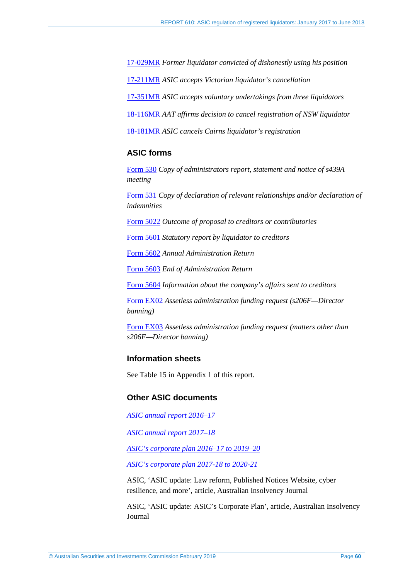[17-029MR](https://asic.gov.au/about-asic/news-centre/find-a-media-release/2017-releases/17-029mr-former-liquidator-convicted-of-dishonestly-using-his-position/) *Former liquidator convicted of dishonestly using his position*

[17-211MR](https://asic.gov.au/about-asic/news-centre/find-a-media-release/2017-releases/17-211mr-asic-accepts-victorian-liquidators-cancellation/) *ASIC accepts Victorian liquidator's cancellation*

[17-351MR](https://asic.gov.au/about-asic/news-centre/find-a-media-release/2017-releases/17-351mr-asic-accepts-voluntary-undertakings-from-three-liquidators/) *ASIC accepts voluntary undertakings from three liquidators*

[18-116MR](https://asic.gov.au/about-asic/news-centre/find-a-media-release/2018-releases/18-116mr-aat-affirms-decision-to-cancel-registration-of-nsw-liquidator/) *AAT affirms decision to cancel registration of NSW liquidator*

[18-181MR](https://asic.gov.au/about-asic/news-centre/find-a-media-release/2018-releases/18-181mr-asic-cancels-cairns-liquidator-s-registration/) *ASIC cancels Cairns liquidator's registration*

#### **ASIC forms**

[Form 530](https://asic.gov.au/regulatory-resources/forms/forms-folder/530-copy-of-administrators-report-statement-and-notice-of-s439a-meeting/) *Copy of administrators report, statement and notice of s439A meeting* 

[Form 531](https://asic.gov.au/regulatory-resources/forms/forms-folder/531-copy-of-declaration-of-relevant-relationships-andor-declaration-of-indemnities/) *Copy of declaration of relevant relationships and/or declaration of indemnities* 

[Form 5022](https://asic.gov.au/regulatory-resources/forms/forms-folder/5022-outcome-of-proposal-to-creditors-or-contributories/) *Outcome of proposal to creditors or contributories* 

[Form 5601](https://asic.gov.au/regulatory-resources/forms/forms-folder/5601-statutory-report-by-a-liquidator-to-creditors/) *Statutory report by liquidator to creditors* 

[Form 5602](https://asic.gov.au/regulatory-resources/forms/forms-folder/5602-annual-administration-return/) *Annual Administration Return* 

[Form 5603](https://asic.gov.au/regulatory-resources/forms/forms-folder/5603-end-of-administration-return/) *End of Administration Return* 

[Form 5604](https://asic.gov.au/regulatory-resources/forms/forms-folder/5604-information-about-the-companys-affairs-sent-to-creditors/) *Information about the company's affairs sent to creditors* 

[Form EX02](https://asic.gov.au/regulatory-resources/forms/forms-folder/ex02-assetless-administration-funding-request-s206f-director-banning/) *Assetless administration funding request (s206F—Director banning)*

[Form EX03](https://asic.gov.au/regulatory-resources/forms/forms-folder/ex03-assetless-administration-funding-request-matters-other-than-section-206f-director-banning/) *Assetless administration funding request (matters other than s206F—Director banning)*

## **Information sheets**

See [Table 15](#page-47-3) in Appendix 1 of this report.

#### **Other ASIC documents**

*[ASIC annual report 2016–17](https://asic.gov.au/about-asic/corporate-publications/asic-annual-reports/#ar17)* 

*[ASIC annual report 2017–18](https://asic.gov.au/about-asic/corporate-publications/asic-annual-reports/#ar18)*

*[ASIC's corporate plan 2016–17 to 2019–20](https://asic.gov.au/about-asic/what-we-do/our-role/asics-corporate-plan-2016-2017-to-2019-2020/)*

*[ASIC's corporate plan 2017-18 to 2020-21](https://asic.gov.au/about-asic/what-we-do/our-role/asics-corporate-plan-2017-18-to-2020-21/)*

ASIC, 'ASIC update: Law reform, Published Notices Website, cyber resilience, and more', article, Australian Insolvency Journal

ASIC, 'ASIC update: ASIC's Corporate Plan', article, Australian Insolvency Journal